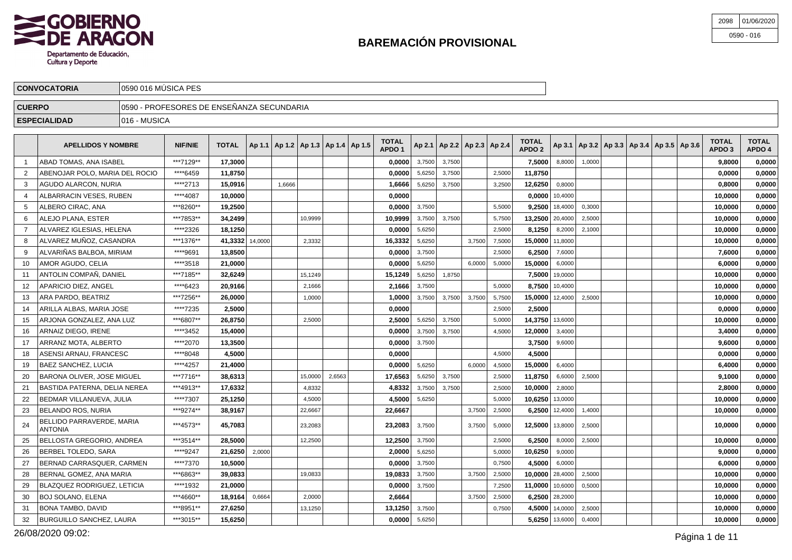

| 2098 | 01/06/2020   |
|------|--------------|
|      | $0590 - 016$ |

| <b>CONVOCATORIA</b> | 0590 016 MUSICA PES                                          |
|---------------------|--------------------------------------------------------------|
| <b>CUERPO</b>       | 0590 - PROFESORES DE ENSEÑANZA SECUNDARIA                    |
| <b>ESPECIALIDAD</b> | 1016 - MUSICA                                                |
|                     | <b>TOTAL</b><br><b>TOTAL</b><br><b>TOTAL</b><br><b>TOTAL</b> |

|                | <b>APELLIDOS Y NOMBRE</b>                   | <b>NIF/NIE</b> | <b>TOTAL</b>    | Ap 1.1   Ap 1.2   Ap 1.3   Ap 1.4   Ap 1.5 |        |         |        | TOTAL<br>APDO <sub>1</sub> |        | Ap 2.1   Ap 2.2   Ap 2.3   Ap 2.4 |        |        | <b>TOTAL</b><br>APDO <sub>2</sub> |                    |        | Ap 3.1   Ap 3.2   Ap 3.3   Ap 3.4   Ap 3.5   Ap 3.6 |  | TOTAL<br>APDO <sub>3</sub> | <b>TOTAL</b><br>APDO 4 |
|----------------|---------------------------------------------|----------------|-----------------|--------------------------------------------|--------|---------|--------|----------------------------|--------|-----------------------------------|--------|--------|-----------------------------------|--------------------|--------|-----------------------------------------------------|--|----------------------------|------------------------|
|                | ABAD TOMAS, ANA ISABEL                      | ***7129**      | 17,3000         |                                            |        |         |        | 0,0000                     | 3,7500 | 3,7500                            |        |        | 7.5000                            | 8,8000             | 1,0000 |                                                     |  | 9.8000                     | 0,0000                 |
|                | ABENOJAR POLO. MARIA DEL ROCIO              | ****6459       | 11,8750         |                                            |        |         |        | 0,0000                     | 5.6250 | 3,7500                            |        | 2,5000 | 11.8750                           |                    |        |                                                     |  | 0.0000                     | 0,0000                 |
| 3              | AGUDO ALARCON, NURIA                        | ****2713       | 15,0916         |                                            | 1.6666 |         |        | 1,6666                     | 5,6250 | 3,7500                            |        | 3,2500 | 12.6250                           | 0,8000             |        |                                                     |  | 0,8000                     | 0,0000                 |
| 4              | ALBARRACIN VESES, RUBEN                     | ****4087       | 10.0000         |                                            |        |         |        | 0,0000                     |        |                                   |        |        |                                   | $0.0000$ 10,4000   |        |                                                     |  | 10,0000                    | 0,0000                 |
| 5              | ALBERO CIRAC, ANA                           | ***8260**      | 19,2500         |                                            |        |         |        | 0,0000                     | 3,7500 |                                   |        | 5,5000 |                                   | $9,2500$ 18,4000   | 0,3000 |                                                     |  | 10,0000                    | 0,0000                 |
| 6              | ALEJO PLANA, ESTER                          | ***7853**      | 34,2499         |                                            |        | 10,9999 |        | 10,9999                    | 3,7500 | 3,7500                            |        | 5,7500 | 13,2500 20,4000                   |                    | 2,5000 |                                                     |  | 10,0000                    | 0,0000                 |
| $\overline{7}$ | ALVAREZ IGLESIAS. HELENA                    | ****2326       | 18,1250         |                                            |        |         |        | 0,0000                     | 5,6250 |                                   |        | 2,5000 | 8,1250                            | 8,2000             | 2,1000 |                                                     |  | 10,0000                    | 0,0000                 |
| 8              | ALVAREZ MUÑOZ. CASANDRA                     | ***1376**      | 41,3332 14,0000 |                                            |        | 2,3332  |        | 16,3332                    | 5,6250 |                                   | 3,7500 | 7,5000 | 15,0000 11,8000                   |                    |        |                                                     |  | 10,0000                    | 0,0000                 |
| 9              | ALVARIÑAS BALBOA, MIRIAM                    | ****9691       | 13,8500         |                                            |        |         |        | 0,0000                     | 3,7500 |                                   |        | 2,5000 | 6,2500                            | 7,6000             |        |                                                     |  | 7,6000                     | 0,0000                 |
| 10             | AMOR AGUDO, CELIA                           | ****3518       | 21,0000         |                                            |        |         |        | 0,0000                     | 5,6250 |                                   | 6,0000 | 5,0000 | 15,0000                           | 6,0000             |        |                                                     |  | 6,0000                     | 0,0000                 |
| 11             | ANTOLIN COMPAÑ. DANIEL                      | ***7185**      | 32,6249         |                                            |        | 15.1249 |        | 15,1249                    | 5,6250 | 1,8750                            |        |        |                                   | 7.5000 19,0000     |        |                                                     |  | 10.0000                    | 0,0000                 |
| 12             | APARICIO DIEZ. ANGEL                        | ****6423       | 20,9166         |                                            |        | 2,1666  |        | 2,1666                     | 3,7500 |                                   |        | 5.0000 | 8.7500                            | 10,4000            |        |                                                     |  | 10,0000                    | 0,0000                 |
| 13             | ARA PARDO, BEATRIZ                          | ***7256**      | 26,0000         |                                            |        | 1,0000  |        | 1.0000                     | 3,7500 | 3,7500                            | 3,7500 | 5,7500 | 15.0000 12,4000                   |                    | 2,5000 |                                                     |  | 10.0000                    | 0,0000                 |
| 14             | ARILLA ALBAS, MARIA JOSE                    | ****7235       | 2,5000          |                                            |        |         |        | 0,0000                     |        |                                   |        | 2,5000 | 2,5000                            |                    |        |                                                     |  | 0,0000                     | 0,0000                 |
| 15             | ARJONA GONZALEZ, ANA LUZ                    | ***6807**      | 26,8750         |                                            |        | 2,5000  |        | 2,5000                     | 5,6250 | 3,7500                            |        | 5,0000 | 14,3750 13,6000                   |                    |        |                                                     |  | 10,0000                    | 0,0000                 |
| 16             | ARNAIZ DIEGO, IRENE                         | ****3452       | 15,4000         |                                            |        |         |        | 0,0000                     | 3,7500 | 3,7500                            |        | 4,5000 | 12,0000                           | 3,4000             |        |                                                     |  | 3,4000                     | 0,0000                 |
| 17             | ARRANZ MOTA, ALBERTO                        | ****2070       | 13,3500         |                                            |        |         |        | 0,0000                     | 3,7500 |                                   |        |        | 3,7500                            | 9,6000             |        |                                                     |  | 9,6000                     | 0,0000                 |
| 18             | ASENSI ARNAU. FRANCESC                      | ****8048       | 4,5000          |                                            |        |         |        | 0.0000                     |        |                                   |        | 4.5000 | 4.5000                            |                    |        |                                                     |  | 0.0000                     | 0,0000                 |
| 19             | <b>BAEZ SANCHEZ, LUCIA</b>                  | ****4257       | 21,4000         |                                            |        |         |        | 0.0000                     | 5.6250 |                                   | 6.0000 | 4,5000 | 15,0000                           | 6,4000             |        |                                                     |  | 6.4000                     | 0.0000                 |
| 20             | BARONA OLIVER, JOSE MIGUEL                  | ***7716**      | 38,6313         |                                            |        | 15.0000 | 2.6563 | 17,6563                    | 5.6250 | 3,7500                            |        | 2,5000 | 11.8750                           | 6,6000             | 2,5000 |                                                     |  | 9,1000                     | 0,0000                 |
| 21             | <b>BASTIDA PATERNA, DELIA NEREA</b>         | ***4913**      | 17,6332         |                                            |        | 4,8332  |        | 4,8332                     | 3,7500 | 3,7500                            |        | 2,5000 | 10,0000                           | 2,8000             |        |                                                     |  | 2,8000                     | 0,0000                 |
| 22             | BEDMAR VILLANUEVA, JULIA                    | ****7307       | 25,1250         |                                            |        | 4,5000  |        | 4,5000                     | 5,6250 |                                   |        | 5,0000 | 10,6250 13,0000                   |                    |        |                                                     |  | 10,0000                    | 0,0000                 |
| 23             | <b>BELANDO ROS, NURIA</b>                   | ***9274**      | 38,9167         |                                            |        | 22,6667 |        | 22,6667                    |        |                                   | 3,7500 | 2,5000 |                                   | 6,2500 $12,4000$   | 1,4000 |                                                     |  | 10,0000                    | 0,0000                 |
| 24             | BELLIDO PARRAVERDE, MARIA<br><b>ANTONIA</b> | ***4573**      | 45,7083         |                                            |        | 23,2083 |        | 23,2083                    | 3,7500 |                                   | 3,7500 | 5,0000 | 12,5000 13,8000                   |                    | 2,5000 |                                                     |  | 10,0000                    | 0,0000                 |
| 25             | <b>BELLOSTA GREGORIO, ANDREA</b>            | ***3514**      | 28.5000         |                                            |        | 12,2500 |        | 12,2500                    | 3,7500 |                                   |        | 2,5000 | 6.2500                            | 8,0000             | 2,5000 |                                                     |  | 10.0000                    | 0,0000                 |
| 26             | BERBEL TOLEDO, SARA                         | ****9247       | 21,6250         | 2,0000                                     |        |         |        | 2,0000                     | 5,6250 |                                   |        | 5,0000 | 10,6250                           | 9,0000             |        |                                                     |  | 9.0000                     | 0,0000                 |
| 27             | BERNAD CARRASQUER, CARMEN                   | ****7370       | 10,5000         |                                            |        |         |        | 0,0000                     | 3.7500 |                                   |        | 0.7500 | 4.5000                            | 6,0000             |        |                                                     |  | 6,0000                     | 0,0000                 |
| 28             | BERNAL GOMEZ, ANA MARIA                     | ***6863**      | 39.0833         |                                            |        | 19,0833 |        | 19.0833                    | 3,7500 |                                   | 3,7500 | 2,5000 | $10,0000$ 28,4000                 |                    | 2,5000 |                                                     |  | 10.0000                    | 0,0000                 |
| 29             | BLAZQUEZ RODRIGUEZ, LETICIA                 | ****1932       | 21,0000         |                                            |        |         |        | 0,0000                     | 3,7500 |                                   |        | 7,2500 | 11,0000   10,6000                 |                    | 0,5000 |                                                     |  | 10,0000                    | 0,0000                 |
| 30             | <b>BOJ SOLANO, ELENA</b>                    | ***4660**      | 18,9164         | 0,6664                                     |        | 2,0000  |        | 2,6664                     |        |                                   | 3,7500 | 2,5000 |                                   | 6,2500 28,2000     |        |                                                     |  | 10,0000                    | 0,0000                 |
| 31             | <b>BONA TAMBO, DAVID</b>                    | ***8951**      | 27,6250         |                                            |        | 13,1250 |        | 13,1250                    | 3,7500 |                                   |        | 0,7500 |                                   | 4,5000 14,0000     | 2,5000 |                                                     |  | 10,0000                    | 0,0000                 |
| 32             | <b>BURGUILLO SANCHEZ, LAURA</b>             | ***3015**      | 15,6250         |                                            |        |         |        | 0.0000                     | 5,6250 |                                   |        |        |                                   | $5,6250$   13,6000 | 0,4000 |                                                     |  | 10.0000                    | 0,0000                 |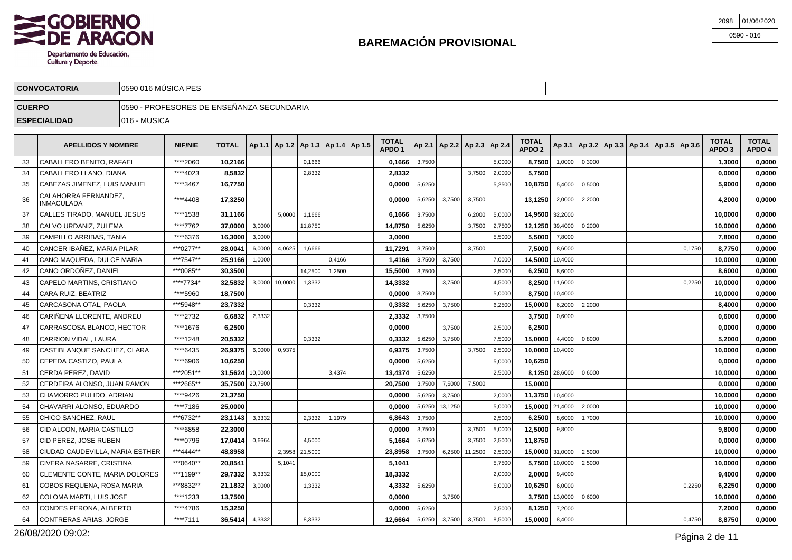

| 2098 | 01/06/2020   |
|------|--------------|
|      | $0590 - 016$ |

|               | <b>CONVOCATORIA</b>                  | 10590 016 MUSICA PES                                                                                                                                                                                                      |           |         |  |  |        |  |  |  |                 |  |  |        |        |        |        |  |                                                         |                                   |                        |
|---------------|--------------------------------------|---------------------------------------------------------------------------------------------------------------------------------------------------------------------------------------------------------------------------|-----------|---------|--|--|--------|--|--|--|-----------------|--|--|--------|--------|--------|--------|--|---------------------------------------------------------|-----------------------------------|------------------------|
| <b>CUERPO</b> |                                      | 10590 - PROFESORES DE ENSEÑANZA SECUNDARIA                                                                                                                                                                                |           |         |  |  |        |  |  |  |                 |  |  |        |        |        |        |  |                                                         |                                   |                        |
|               | 1016 - MUSICA<br><b>ESPECIALIDAD</b> |                                                                                                                                                                                                                           |           |         |  |  |        |  |  |  |                 |  |  |        |        |        |        |  |                                                         |                                   |                        |
|               |                                      | <b>TOTAL</b><br><b>TOTAL</b><br><b>TOTAL</b><br><b>NIF/NIE</b><br>$ $ Ap 2.1   Ap 2.2   Ap 2.3   Ap 2.4  <br>$ $ Ap 1.1   Ap 1.2   Ap 1.3   Ap 1.4   Ap 1.5  <br><b>APELLIDOS Y NOMBRE</b><br>APDO '<br>APDO <sub>2</sub> |           |         |  |  |        |  |  |  |                 |  |  |        |        |        |        |  | $ $ Ap 3.1   Ap 3.2   Ap 3.3   Ap 3.4   Ap 3.5   Ap 3.6 | <b>TOTAL</b><br>APDO <sub>3</sub> | <b>TOTAL</b><br>APDO 4 |
| 33            | CABALLERO BENITO. RAFAEL             |                                                                                                                                                                                                                           | *****2060 | 10,2166 |  |  | 0,1666 |  |  |  | $0,1666$ 3,7500 |  |  | 5,0000 | 8,7500 | 1,0000 | 0,3000 |  |                                                         | ,3000                             | 0,0000                 |

|    | CABALLERO LLANO. DIANA             | ****4023  | 8,5832          |         |         | 2.8332  |        | 2,8332  |        |         | 3.7500         | 2,0000 | 5.7500          |         |        |  |        | 0.0000  | 0,0000 |
|----|------------------------------------|-----------|-----------------|---------|---------|---------|--------|---------|--------|---------|----------------|--------|-----------------|---------|--------|--|--------|---------|--------|
| 35 | CABEZAS JIMENEZ, LUIS MANUEL       | ****3467  | 16,7750         |         |         |         |        | 0,0000  | 5,6250 |         |                | 5,2500 | 10,8750         | 5,4000  | 0,5000 |  |        | 5,9000  | 0,0000 |
| 36 | CALAHORRA FERNANDEZ.<br>INMACULADA | ****4408  | 17,3250         |         |         |         |        | 0.0000  | 5,6250 | 3,7500  | 3.7500         |        | 13.1250         | 2,0000  | 2.2000 |  |        | 4.2000  | 0,0000 |
| 37 | CALLES TIRADO, MANUEL JESUS        | ****1538  | 31,1166         |         | 5.0000  | 1,1666  |        | 6,1666  | 3,7500 |         | 6,2000         | 5,0000 | 14.9500         | 32,2000 |        |  |        | 10,0000 | 0,0000 |
| 38 | CALVO URDANIZ, ZULEMA              | ****7762  | 37.0000         | 3,0000  |         | 11,8750 |        | 14,8750 | 5,6250 |         | 3.7500         | 2,7500 | 12,1250 39,4000 |         | 0.2000 |  |        | 10.0000 | 0,0000 |
| 39 | CAMPILLO ARRIBAS, TANIA            | ****6376  | 16,3000         | 3,0000  |         |         |        | 3,0000  |        |         |                | 5,5000 | 5,5000          | 7,8000  |        |  |        | 7.8000  | 0,0000 |
| 40 | CANCER IBAÑEZ, MARIA PILAR         | ***0277** | 28.0041         | 6.0000  | 4.0625  | 1.6666  |        | 11.7291 | 3.7500 |         | 3.7500         |        | 7.5000          | 8,6000  |        |  | 0.1750 | 8,7750  | 0,0000 |
| 41 | CANO MAQUEDA. DULCE MARIA          | ***7547** | 25,9166         | 1,0000  |         |         | 0,4166 | 1,4166  | 3,7500 | 3,7500  |                | 7,0000 | 14,5000         | 10,4000 |        |  |        | 10,0000 | 0,0000 |
| 42 | CANO ORDOÑEZ. DANIEL               | ***0085** | 30,3500         |         |         | 14.2500 | 1,2500 | 15,5000 | 3,7500 |         |                | 2.5000 | 6.2500          | 8,6000  |        |  |        | 8.6000  | 0,0000 |
| 43 | CAPELO MARTINS, CRISTIANO          | ****7734* | 32,5832         | 3.0000  | 10,0000 | 1,3332  |        | 14,3332 |        | 3,7500  |                | 4,5000 | 8,2500          | 11,6000 |        |  | 0.2250 | 10,0000 | 0,0000 |
| 44 | CARA RUIZ, BEATRIZ                 | ****5960  | 18,7500         |         |         |         |        | 0,0000  | 3,7500 |         |                | 5,0000 | 8.7500          | 10,4000 |        |  |        | 10.0000 | 0,0000 |
| 45 | CARCASONA OTAL, PAOLA              | ***5948** | 23,7332         |         |         | 0,3332  |        | 0,3332  | 5,6250 | 3,7500  |                | 6,2500 | 15,0000         | 6,2000  | 2,2000 |  |        | 8,4000  | 0,0000 |
| 46 | CARIÑENA LLORENTE, ANDREU          | ****2732  | 6.6832          | 2,3332  |         |         |        | 2,3332  | 3,7500 |         |                |        | 3.7500          | 0,6000  |        |  |        | 0.6000  | 0,0000 |
| 47 | CARRASCOSA BLANCO, HECTOR          | ****1676  | 6,2500          |         |         |         |        | 0,0000  |        | 3,7500  |                | 2,5000 | 6.2500          |         |        |  |        | 0.0000  | 0,0000 |
| 48 | CARRION VIDAL, LAURA               | ****1248  | 20,5332         |         |         | 0.3332  |        | 0,3332  | 5,6250 | 3,7500  |                | 7,5000 | 15,0000         | 4,4000  | 0,8000 |  |        | 5.2000  | 0,0000 |
| 49 | CASTIBLANQUE SANCHEZ, CLARA        | ****6435  | 26.9375         | 6,0000  | 0,9375  |         |        | 6.9375  | 3,7500 |         | 3,7500         | 2,5000 | 10.0000         | 10,4000 |        |  |        | 10.0000 | 0,0000 |
| 50 | CEPEDA CASTIZO, PAULA              | ****6906  | 10,6250         |         |         |         |        | 0,0000  | 5,6250 |         |                | 5,0000 | 10.6250         |         |        |  |        | 0.0000  | 0,0000 |
| 51 | CERDA PEREZ. DAVID                 | ***2051** | 31.5624         | 10,0000 |         |         | 3.4374 | 13,4374 | 5,6250 |         |                | 2.5000 | 8.1250          | 28,6000 | 0.6000 |  |        | 10.0000 | 0,0000 |
| 52 | CERDEIRA ALONSO, JUAN RAMON        | ***2665** | 35,7500 20,7500 |         |         |         |        | 20,7500 | 3,7500 | 7,5000  | 7.5000         |        | 15.0000         |         |        |  |        | 0,0000  | 0,0000 |
| 53 | CHAMORRO PULIDO, ADRIAN            | ****9426  | 21,3750         |         |         |         |        | 0.0000  | 5,6250 | 3,7500  |                | 2,0000 | 11,3750 10,4000 |         |        |  |        | 10.0000 | 0,0000 |
| 54 | CHAVARRI ALONSO, EDUARDO           | ****7186  | 25,0000         |         |         |         |        | 0,0000  | 5,6250 | 13,1250 |                | 5,0000 | 15,0000 21,4000 |         | 2,0000 |  |        | 10,0000 | 0,0000 |
| 55 | CHICO SANCHEZ, RAUL                | ***6732** | 23.1143         | 3,3332  |         | 2.3332  | 1,1979 | 6,8643  | 3,7500 |         |                | 2.5000 | 6.2500          | 8,6000  | 1.7000 |  |        | 10,0000 | 0,0000 |
| 56 | CID ALCON, MARIA CASTILLO          | ****6858  | 22,3000         |         |         |         |        | 0,0000  | 3,7500 |         | 3,7500         | 5,0000 | 12,5000         | 9,8000  |        |  |        | 9,8000  | 0,0000 |
| 57 | CID PEREZ. JOSE RUBEN              | ****0796  | 17,0414         | 0.6664  |         | 4.5000  |        | 5,1664  | 5.6250 |         | 3.7500         | 2,5000 | 11.8750         |         |        |  |        | 0.0000  | 0,0000 |
| 58 | CIUDAD CAUDEVILLA, MARIA ESTHER    | ***4444** | 48,8958         |         | 2,3958  | 21,5000 |        | 23,8958 | 3,7500 |         | 6,2500 11,2500 | 2,5000 | 15,0000         | 31,0000 | 2,5000 |  |        | 10,0000 | 0,0000 |
| 59 | CIVERA NASARRE. CRISTINA           | ***0640** | 20.8541         |         | 5.1041  |         |        | 5,1041  |        |         |                | 5,7500 | 5,7500          | 10,0000 | 2,5000 |  |        | 10.0000 | 0,0000 |
| 60 | CLEMENTE CONTE. MARIA DOLORES      | ***1199** | 29.7332         | 3,3332  |         | 15,0000 |        | 18,3332 |        |         |                | 2,0000 | 2.0000          | 9,4000  |        |  |        | 9.4000  | 0,0000 |
| 61 | COBOS REQUENA, ROSA MARIA          | ***8832** | 21,1832         | 3,0000  |         | 1,3332  |        | 4,3332  | 5,6250 |         |                | 5,0000 | 10,6250         | 6,0000  |        |  | 0.2250 | 6,2250  | 0,0000 |
| 62 | COLOMA MARTI. LUIS JOSE            | ****1233  | 13.7500         |         |         |         |        | 0.0000  |        | 3,7500  |                |        | 3.7500          | 13,0000 | 0,6000 |  |        | 10.0000 | 0.0000 |
| 63 | CONDES PERONA, ALBERTO             | ****4786  | 15,3250         |         |         |         |        | 0,0000  | 5,6250 |         |                | 2,5000 | 8,1250          | 7,2000  |        |  |        | 7,2000  | 0,0000 |
| 64 | CONTRERAS ARIAS, JORGE             | ****7111  | 36.5414         | 4,3332  |         | 8.3332  |        | 12.6664 | 5,6250 | 3,7500  | 3,7500         | 8,5000 | 15,0000         | 8,4000  |        |  | 0.4750 | 8.8750  | 0.0000 |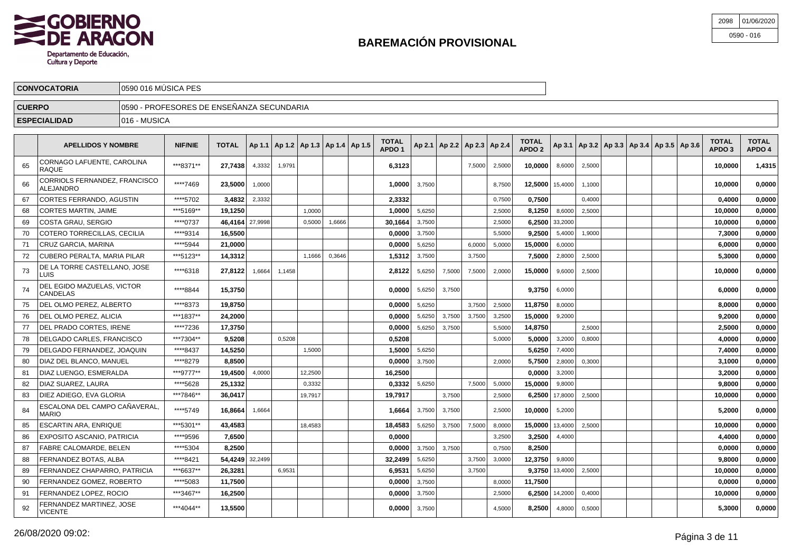

| 2098 | 01/06/2020   |
|------|--------------|
|      | $0590 - 016$ |

|               | <b>CONVOCATORIA</b>       | 10590 016 MÚSICA PES                       |                |              |  |                                            |  |  |  |                 |  |  |  |                                       |                        |  |  |  |                                                         |                                   |                        |
|---------------|---------------------------|--------------------------------------------|----------------|--------------|--|--------------------------------------------|--|--|--|-----------------|--|--|--|---------------------------------------|------------------------|--|--|--|---------------------------------------------------------|-----------------------------------|------------------------|
| <b>CUERPO</b> |                           | 10590 - PROFESORES DE ENSEÑANZA SECUNDARIA |                |              |  |                                            |  |  |  |                 |  |  |  |                                       |                        |  |  |  |                                                         |                                   |                        |
|               | <b>ESPECIALIDAD</b>       | 1016 - MUSICA                              |                |              |  |                                            |  |  |  |                 |  |  |  |                                       |                        |  |  |  |                                                         |                                   |                        |
|               | <b>APELLIDOS Y NOMBRE</b> |                                            | <b>NIF/NIE</b> | <b>TOTAL</b> |  | Ap 1.1   Ap 1.2   Ap 1.3   Ap 1.4   Ap 1.5 |  |  |  | TOTAL<br>APDO 1 |  |  |  | $ $ Ap 2.1   Ap 2.2   Ap 2.3   Ap 2.4 | <b>TOTAL</b><br>APDO 2 |  |  |  | $ $ Ap 3.1   Ap 3.2   Ap 3.3   Ap 3.4   Ap 3.5   Ap 3.6 | <b>TOTAL</b><br>APDO <sub>3</sub> | <b>TOTAL</b><br>APDO 4 |

|    |                                                   |           |                 |         |        |         |        | ט וה    |        |        |        |        | ט וח    |         |        |  | טש וח   |        |
|----|---------------------------------------------------|-----------|-----------------|---------|--------|---------|--------|---------|--------|--------|--------|--------|---------|---------|--------|--|---------|--------|
| 65 | CORNAGO LAFUENTE, CAROLINA<br><b>RAQUE</b>        | ***8371** | 27.7438         | 4,3332  | 1.9791 |         |        | 6,3123  |        |        | 7.5000 | 2,5000 | 10.0000 | 8,6000  | 2.5000 |  | 10.0000 | 1,4315 |
| 66 | CORRIOLS FERNANDEZ, FRANCISCO<br><b>ALEJANDRO</b> | ****7469  | 23,5000         | 1,0000  |        |         |        | 1.00001 | 3,7500 |        |        | 8,7500 | 12,5000 | 15,4000 | 1,1000 |  | 10,0000 | 0,0000 |
| 67 | CORTES FERRANDO, AGUSTIN                          | ****5702  | 3,4832          | 2,3332  |        |         |        | 2,3332  |        |        |        | 0,7500 | 0.7500  |         | 0,4000 |  | 0,4000  | 0,0000 |
| 68 | <b>CORTES MARTIN, JAIME</b>                       | ***5169** | 19.1250         |         |        | 1,0000  |        | 1.0000  | 5,6250 |        |        | 2,5000 | 8.1250  | 8,6000  | 2,5000 |  | 10,0000 | 0,0000 |
| 69 | COSTA GRAU. SERGIO                                | ****0737  | 46,4164 27,9998 |         |        | 0.5000  | 1,6666 | 30.1664 | 3.7500 |        |        | 2,5000 | 6.2500  | 33,2000 |        |  | 10.0000 | 0,0000 |
| 70 | COTERO TORRECILLAS, CECILIA                       | ****9314  | 16,5500         |         |        |         |        | 0,0000  | 3,7500 |        |        | 5,5000 | 9,2500  | 5,4000  | 1,9000 |  | 7,3000  | 0,0000 |
| 71 | CRUZ GARCIA, MARINA                               | **** 5944 | 21.0000         |         |        |         |        | 0.0000  | 5,6250 |        | 6.0000 | 5,0000 | 15.0000 | 6,0000  |        |  | 6.0000  | 0,0000 |
| 72 | CUBERO PERALTA, MARIA PILAR                       | ***5123** | 14,3312         |         |        | 1.1666  | 0,3646 | 1,5312  | 3,7500 |        | 3,7500 |        | 7,5000  | 2,8000  | 2,5000 |  | 5,3000  | 0,0000 |
| 73 | DE LA TORRE CASTELLANO, JOSE<br>LUIS              | ****6318  | 27,8122         | 1,6664  | 1,1458 |         |        | 2,8122  | 5,6250 | 7,5000 | 7,5000 | 2,0000 | 15.0000 | 9,6000  | 2,5000 |  | 10,0000 | 0,0000 |
| 74 | DEL EGIDO MAZUELAS, VICTOR<br><b>CANDELAS</b>     | ****8844  | 15.3750         |         |        |         |        | 0.0000  | 5,6250 | 3,7500 |        |        | 9.3750  | 6,0000  |        |  | 6.0000  | 0,0000 |
| 75 | DEL OLMO PEREZ, ALBERTO                           | ****8373  | 19,8750         |         |        |         |        | 0,0000  | 5,6250 |        | 3.7500 | 2,5000 | 11,8750 | 8,0000  |        |  | 8,0000  | 0,0000 |
| 76 | DEL OLMO PEREZ. ALICIA                            | ***1837** | 24.2000         |         |        |         |        | 0.0000  | 5.6250 | 3,7500 | 3.7500 | 3,2500 | 15.0000 | 9,2000  |        |  | 9.2000  | 0,0000 |
| 77 | DEL PRADO CORTES, IRENE                           | ****7236  | 17,3750         |         |        |         |        | 0,0000  | 5,6250 | 3,7500 |        | 5,5000 | 14,8750 |         | 2,5000 |  | 2,5000  | 0,0000 |
| 78 | DELGADO CARLES. FRANCISCO                         | ***7304** | 9.5208          |         | 0.5208 |         |        | 0.5208  |        |        |        | 5.0000 | 5.0000  | 3,2000  | 0.8000 |  | 4.0000  | 0,0000 |
| 79 | DELGADO FERNANDEZ. JOAQUIN                        | ****8437  | 14,5250         |         |        | 1,5000  |        | 1,5000  | 5,6250 |        |        |        | 5,6250  | 7,4000  |        |  | 7,4000  | 0,0000 |
| 80 | DIAZ DEL BLANCO. MANUEL                           | ****8279  | 8.8500          |         |        |         |        | 0.0000  | 3,7500 |        |        | 2,0000 | 5.7500  | 2,8000  | 0,3000 |  | 3,1000  | 0,0000 |
| 81 | DIAZ LUENGO. ESMERALDA                            | ***9777** | 19,4500         | 4,0000  |        | 12,2500 |        | 16,2500 |        |        |        |        | 0.0000  | 3,2000  |        |  | 3,2000  | 0,0000 |
| 82 | DIAZ SUAREZ, LAURA                                | ****5628  | 25,1332         |         |        | 0,3332  |        | 0,3332  | 5,6250 |        | 7.5000 | 5,0000 | 15.0000 | 9,8000  |        |  | 9.8000  | 0,0000 |
| 83 | DIEZ ADIEGO. EVA GLORIA                           | ***7846** | 36.0417         |         |        | 19,7917 |        | 19,7917 |        | 3,7500 |        | 2,5000 | 6.2500  | 17,8000 | 2,5000 |  | 10.0000 | 0,0000 |
| 84 | ESCALONA DEL CAMPO CAÑAVERAL<br><b>MARIO</b>      | ****5749  | 16.8664         | 1,6664  |        |         |        | 1.6664  | 3,7500 | 3,7500 |        | 2,5000 | 10.0000 | 5,2000  |        |  | 5.2000  | 0,0000 |
| 85 | ESCARTIN ARA. ENRIQUE                             | ***5301** | 43.4583         |         |        | 18.4583 |        | 18.4583 | 5.6250 | 3,7500 | 7,5000 | 8,0000 | 15.0000 | 13,4000 | 2.5000 |  | 10.0000 | 0,0000 |
| 86 | EXPOSITO ASCANIO, PATRICIA                        | ****9596  | 7,6500          |         |        |         |        | 0,0000  |        |        |        | 3,2500 | 3,2500  | 4,4000  |        |  | 4,4000  | 0,0000 |
| 87 | FABRE CALOMARDE. BELEN                            | ****5304  | 8.2500          |         |        |         |        | 0.0000  | 3,7500 | 3.7500 |        | 0.7500 | 8.2500  |         |        |  | 0.0000  | 0.0000 |
| 88 | FERNANDEZ BOTAS, ALBA                             | ****8421  | 54.4249         | 32,2499 |        |         |        | 32,2499 | 5.6250 |        | 3.7500 | 3,0000 | 12.3750 | 9,8000  |        |  | 9,8000  | 0,0000 |
| 89 | FERNANDEZ CHAPARRO, PATRICIA                      | ***6637** | 26.3281         |         | 6,9531 |         |        | 6.9531  | 5,6250 |        | 3,7500 |        | 9.3750  | 13,4000 | 2,5000 |  | 10.0000 | 0.0000 |
| 90 | FERNANDEZ GOMEZ, ROBERTO                          | ****5083  | 11,7500         |         |        |         |        | 0,0000  | 3,7500 |        |        | 8,0000 | 11,7500 |         |        |  | 0,0000  | 0,0000 |
| 91 | FERNANDEZ LOPEZ, ROCIO                            | ***3467** | 16,2500         |         |        |         |        | 0,0000  | 3,7500 |        |        | 2,5000 | 6,2500  | 14,2000 | 0,4000 |  | 10,0000 | 0,0000 |
| 92 | FERNANDEZ MARTINEZ, JOSE<br><b>VICENTE</b>        | ***4044** | 13,5500         |         |        |         |        | 0,0000  | 3,7500 |        |        | 4.5000 | 8.2500  | 4,8000  | 0,5000 |  | 5,3000  | 0,0000 |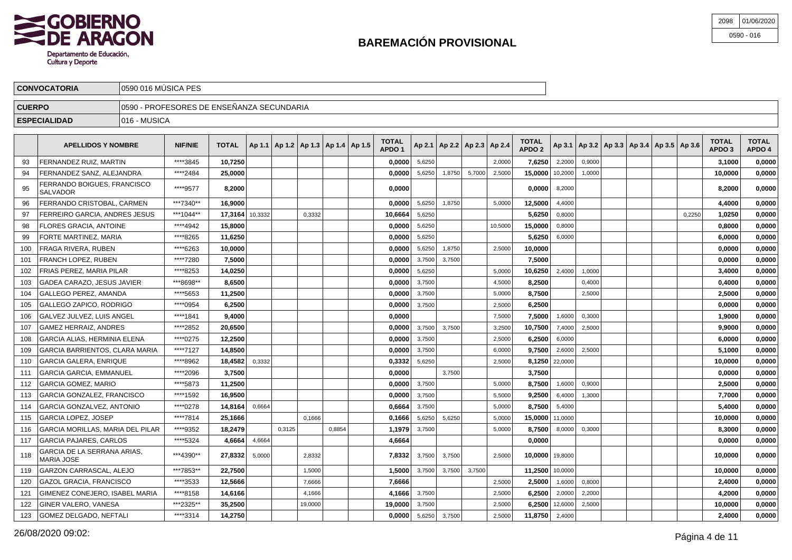

| 2098 | 01/06/2020   |
|------|--------------|
|      | $0590 - 016$ |

|               | <b>CONVOCATORIA</b>                  | 10590 016 MUSICA PES                       |                |              |  |  |  |  |                                            |                                   |  |  |  |                                       |                                   |                                                         |  |  |                                   |                        |
|---------------|--------------------------------------|--------------------------------------------|----------------|--------------|--|--|--|--|--------------------------------------------|-----------------------------------|--|--|--|---------------------------------------|-----------------------------------|---------------------------------------------------------|--|--|-----------------------------------|------------------------|
| <b>CUERPO</b> |                                      | 10590 - PROFESORES DE ENSEÑANZA SECUNDARIA |                |              |  |  |  |  |                                            |                                   |  |  |  |                                       |                                   |                                                         |  |  |                                   |                        |
|               | 1016 - MUSICA<br><b>ESPECIALIDAD</b> |                                            |                |              |  |  |  |  |                                            |                                   |  |  |  |                                       |                                   |                                                         |  |  |                                   |                        |
|               | <b>APELLIDOS Y NOMBRE</b>            |                                            | <b>NIF/NIE</b> | <b>TOTAL</b> |  |  |  |  | Ap 1.1   Ap 1.2   Ap 1.3   Ap 1.4   Ap 1.5 | <b>TOTAL</b><br>APDO <sup>1</sup> |  |  |  | $ $ Ap 2.1   Ap 2.2   Ap 2.3   Ap 2.4 | <b>TOTAL</b><br>APDO <sub>2</sub> | $ $ Ap 3.1   Ap 3.2   Ap 3.3   Ap 3.4   Ap 3.5   Ap 3.6 |  |  | <b>TOTAL</b><br>APDO <sub>3</sub> | <b>TOTAL</b><br>APDO 4 |

|     | FERNANDEZ RUIZ. MARTIN                         | ****3845  | 10,7250         |        |        |         |        | 0,0000  | 5,6250 |        |        | 2,0000  | 7.6250            | 2,2000         | 0,9000 |  |        | 3,1000  | 0,0000 |
|-----|------------------------------------------------|-----------|-----------------|--------|--------|---------|--------|---------|--------|--------|--------|---------|-------------------|----------------|--------|--|--------|---------|--------|
| 94  | FERNANDEZ SANZ, ALEJANDRA                      | *****2484 | 25,0000         |        |        |         |        | 0.0000  | 5,6250 | 1,8750 | 5,7000 | 2,5000  | 15,0000           | 10,2000        | 1,0000 |  |        | 10,0000 | 0,0000 |
| 95  | FERRANDO BOIGUES, FRANCISCO<br><b>SALVADOR</b> | ****9577  | 8.2000          |        |        |         |        | 0.0000  |        |        |        |         | 0.0000            | 8,2000         |        |  |        | 8.2000  | 0,0000 |
| 96  | FERRANDO CRISTOBAL, CARMEN                     | ***7340** | 16.9000         |        |        |         |        | 0.0000  | 5,6250 | 1,8750 |        | 5,0000  | 12,5000           | 4,4000         |        |  |        | 4.4000  | 0.0000 |
| 97  | FERREIRO GARCIA. ANDRES JESUS                  | ***1044** | 17.3164 10.3332 |        |        | 0,3332  |        | 10.6664 | 5,6250 |        |        |         | 5.6250            | 0,8000         |        |  | 0,2250 | 1.0250  | 0,0000 |
| 98  | FLORES GRACIA. ANTOINE                         | ****4942  | 15.8000         |        |        |         |        | 0.0000  | 5.6250 |        |        | 10.5000 | 15,0000           | 0,8000         |        |  |        | 0.8000  | 0,0000 |
| 99  | FORTE MARTINEZ. MARIA                          | ****8265  | 11,6250         |        |        |         |        | 0,0000  | 5,6250 |        |        |         | 5,6250            | 6,0000         |        |  |        | 6.0000  | 0,0000 |
| 100 | FRAGA RIVERA, RUBEN                            | ****6263  | 10,0000         |        |        |         |        | 0,0000  | 5,6250 | 1,8750 |        | 2.5000  | 10,0000           |                |        |  |        | 0,0000  | 0,0000 |
| 101 | FRANCH LOPEZ. RUBEN                            | ****7280  | 7,5000          |        |        |         |        | 0.0000  | 3,7500 | 3,7500 |        |         | 7.5000            |                |        |  |        | 0,0000  | 0,0000 |
| 102 | FRIAS PEREZ, MARIA PILAR                       | ****8253  | 14,0250         |        |        |         |        | 0,0000  | 5,6250 |        |        | 5,0000  | 10,6250           | 2,4000         | 1.0000 |  |        | 3,4000  | 0,0000 |
| 103 | GADEA CARAZO, JESUS JAVIER                     | ***8698** | 8.6500          |        |        |         |        | 0,0000  | 3,7500 |        |        | 4,5000  | 8,2500            |                | 0,4000 |  |        | 0,4000  | 0,0000 |
| 104 | GALLEGO PEREZ, AMANDA                          | ****5653  | 11,2500         |        |        |         |        | 0,0000  | 3,7500 |        |        | 5,0000  | 8,7500            |                | 2,5000 |  |        | 2,5000  | 0,0000 |
| 105 | GALLEGO ZAPICO, RODRIGO                        | ****0954  | 6,2500          |        |        |         |        | 0,0000  | 3,7500 |        |        | 2,5000  | 6,2500            |                |        |  |        | 0,0000  | 0,0000 |
| 106 | GALVEZ JULVEZ. LUIS ANGEL                      | ****1841  | 9.4000          |        |        |         |        | 0.0000  |        |        |        | 7,5000  | 7.5000            | 1,6000         | 0,3000 |  |        | 1.9000  | 0,0000 |
| 107 | <b>GAMEZ HERRAIZ, ANDRES</b>                   | ****2852  | 20,6500         |        |        |         |        | 0.0000  | 3,7500 | 3,7500 |        | 3,2500  | 10.7500           | 7,4000         | 2,5000 |  |        | 9.9000  | 0,0000 |
| 108 | <b>GARCIA ALIAS. HERMINIA ELENA</b>            | ****0275  | 12,2500         |        |        |         |        | 0,0000  | 3,7500 |        |        | 2,5000  | 6.2500            | 6,0000         |        |  |        | 6,0000  | 0,0000 |
| 109 | GARCIA BARRIENTOS. CLARA MARIA                 | ****7127  | 14.8500         |        |        |         |        | 0.0000  | 3,7500 |        |        | 6.0000  | 9.7500            | 2,6000         | 2,5000 |  |        | 5.1000  | 0,0000 |
| 110 | <b>GARCIA GALERA, ENRIQUE</b>                  | ****8962  | 18,4582         | 0,3332 |        |         |        | 0,3332  | 5,6250 |        |        | 2,5000  |                   | 8,1250 22,0000 |        |  |        | 10,0000 | 0,0000 |
| 111 | <b>GARCIA GARCIA, EMMANUEL</b>                 | ****2096  | 3,7500          |        |        |         |        | 0,0000  |        | 3,7500 |        |         | 3,7500            |                |        |  |        | 0,0000  | 0,0000 |
| 112 | GARCIA GOMEZ, MARIO                            | ****5873  | 11,2500         |        |        |         |        | 0,0000  | 3,7500 |        |        | 5,0000  | 8,7500            | 1,6000         | 0,9000 |  |        | 2,5000  | 0,0000 |
| 113 | GARCIA GONZALEZ. FRANCISCO                     | ****1592  | 16,9500         |        |        |         |        | 0,0000  | 3,7500 |        |        | 5,5000  | 9.2500            | 6,4000         | 1,3000 |  |        | 7,7000  | 0,0000 |
| 114 | GARCIA GONZALVEZ, ANTONIO                      | ****0278  | 14,8164         | 0,6664 |        |         |        | 0,6664  | 3,7500 |        |        | 5,0000  | 8,7500            | 5,4000         |        |  |        | 5,4000  | 0,0000 |
| 115 | GARCIA LOPEZ, JOSEP                            | ****7814  | 25,1666         |        |        | 0,1666  |        | 0,1666  | 5,6250 | 5,6250 |        | 5,0000  | 15,0000 11,0000   |                |        |  |        | 10,0000 | 0,0000 |
| 116 | GARCIA MORILLAS. MARIA DEL PILAR               | ****9352  | 18.2479         |        | 0,3125 |         | 0,8854 | 1.1979  | 3,7500 |        |        | 5,0000  | 8.7500            | 8,0000         | 0,3000 |  |        | 8.3000  | 0,0000 |
| 117 | <b>GARCIA PAJARES, CARLOS</b>                  | ****5324  | 4.6664          | 4,6664 |        |         |        | 4,6664  |        |        |        |         | 0.0000            |                |        |  |        | 0.0000  | 0,0000 |
| 118 | GARCIA DE LA SERRANA ARIAS.<br>MARIA JOSE      | ***4390** | 27.8332         | 5,0000 |        | 2,8332  |        | 7.8332  | 3,7500 | 3,7500 |        | 2,5000  | 10.0000   19,8000 |                |        |  |        | 10.0000 | 0.0000 |
| 119 | GARZON CARRASCAL, ALEJO                        | ***7853** | 22,7500         |        |        | 1,5000  |        | 1,5000  | 3,7500 | 3,7500 | 3,7500 |         | 11,2500 10,0000   |                |        |  |        | 10,0000 | 0,0000 |
| 120 | GAZOL GRACIA, FRANCISCO                        | ****3533  | 12,5666         |        |        | 7.6666  |        | 7,6666  |        |        |        | 2,5000  | 2,5000            | 1,6000         | 0,8000 |  |        | 2,4000  | 0,0000 |
| 121 | GIMENEZ CONEJERO. ISABEL MARIA                 | ****8158  | 14.6166         |        |        | 4,1666  |        | 4.1666  | 3,7500 |        |        | 2,5000  | 6.2500            | 2,0000         | 2,2000 |  |        | 4,2000  | 0,0000 |
| 122 | GINER VALERO, VANESA                           | ***2325** | 35,2500         |        |        | 19,0000 |        | 19,0000 | 3.7500 |        |        | 2,5000  | 6.2500            | 12,6000        | 2.5000 |  |        | 10,0000 | 0,0000 |
| 123 | <b>GOMEZ DELGADO, NEFTALI</b>                  | ****3314  | 14.2750         |        |        |         |        | 0.0000  | 5,6250 | 3,7500 |        | 2.5000  | 11,8750 2,4000    |                |        |  |        | 2.4000  | 0,0000 |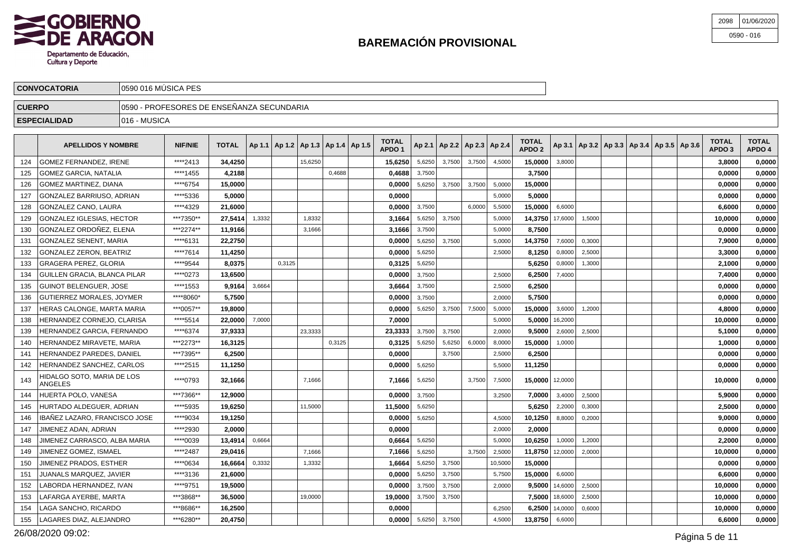

\*\*\*\*9034 **19,1250 0,0000** 5,6250 4,5000 **10,1250** 8,8000 0,2000 **9,0000 0,0000**

\*\*\*\*0039 **13,4914** 0,6664 **0,6664** 5,6250 5,0000 **10,6250** 1,0000 1,2000 **2,2000 0,0000**

\*\*\*\*2930 **2,0000 0,0000** 2,0000 **2,0000 0,0000 0,0000**

\*\*\*\*0634 **16,6664** 0,3332 1,3332 **1,6664** 5,6250 3,7500 10,5000 **15,0000 0,0000 0,0000**

\*\*\*\*3136 **21,6000 0,0000** 5,6250 3,7500 5,7500 **15,0000** 6,6000 **6,6000 0,0000**

\*\*\*\*9751 **19,5000 0,0000** 3,7500 3,7500 2,0000 **9,5000** 14,6000 2,5000 **10,0000 0,0000**

 $\overline{A}$  \*\*\*3868\*\* **36,5000** 19,0000 19,0000 19 19,0000 3,7500 3,7500 3,7500 18,6000 2,5000 2,5000 10,000 10,0000 0,0000 1,0000 1,0000 1,0000 1,0000 1,0000 1,0000 1,0000 1,0000 1,0000 1,0000 1,0000 1,0000 1,0000 1,0000 1,0

\*\*\*6280\*\* **20,4750 0,0000** 5,6250 3,7500 4,5000 **13,8750** 6,6000 **6,6000 0,0000**

\*\*\*8686\*\* **16,2500 0,0000** 6,2500 **6,2500** 14,0000 0,6000 **10,0000 0,0000**

JIMENEZ GOMEZ, ISMAEL \*\*\*\*2487 **29,0416** 7,1666 **7,1666** 5,6250 3,7500 2,5000 **11,8750** 12,0000 2,0000 **10,0000 0,0000**

| 2098 | 01/06/2020   |
|------|--------------|
|      | $0590 - 016$ |

|               | <b>CONVOCATORIA</b>                          | 0590 016 MÚSICA PES                       |                |              |        |        |         |                                            |  |                                   |        |                                   |        |        |                                   |         |                                                     |  |  |  |                                   |                        |
|---------------|----------------------------------------------|-------------------------------------------|----------------|--------------|--------|--------|---------|--------------------------------------------|--|-----------------------------------|--------|-----------------------------------|--------|--------|-----------------------------------|---------|-----------------------------------------------------|--|--|--|-----------------------------------|------------------------|
| <b>CUERPO</b> |                                              | 0590 - PROFESORES DE ENSEÑANZA SECUNDARIA |                |              |        |        |         |                                            |  |                                   |        |                                   |        |        |                                   |         |                                                     |  |  |  |                                   |                        |
|               | <b>ESPECIALIDAD</b>                          | I016 - MUSICA                             |                |              |        |        |         |                                            |  |                                   |        |                                   |        |        |                                   |         |                                                     |  |  |  |                                   |                        |
|               | <b>APELLIDOS Y NOMBRE</b>                    |                                           | <b>NIF/NIE</b> | <b>TOTAL</b> |        |        |         | Ap 1.1   Ap 1.2   Ap 1.3   Ap 1.4   Ap 1.5 |  | <b>TOTAL</b><br>APDO <sub>1</sub> |        | Ap 2.1   Ap 2.2   Ap 2.3   Ap 2.4 |        |        | <b>TOTAL</b><br>APDO <sub>2</sub> |         | Ap 3.1   Ap 3.2   Ap 3.3   Ap 3.4   Ap 3.5   Ap 3.6 |  |  |  | <b>TOTAL</b><br>APDO <sub>3</sub> | <b>TOTAL</b><br>APDO 4 |
| 124           | GOMEZ FERNANDEZ. IRENE                       |                                           | ****2413       | 34,4250      |        |        | 15.6250 |                                            |  | 15,6250                           | 5.6250 | 3,7500                            | 3,7500 | 4.5000 | 15.0000                           | 3,8000  |                                                     |  |  |  | 3,8000                            | 0,0000                 |
| 125           | <b>GOMEZ GARCIA, NATALIA</b>                 |                                           | ****1455       | 4,2188       |        |        |         | 0,4688                                     |  | 0,4688                            | 3,7500 |                                   |        |        | 3,7500                            |         |                                                     |  |  |  | 0,0000                            | 0,0000                 |
| 126           | <b>GOMEZ MARTINEZ, DIANA</b>                 |                                           | ****6754       | 15.0000      |        |        |         |                                            |  | 0.0000                            | 5,6250 | 3,7500                            | 3,7500 | 5,0000 | 15,0000                           |         |                                                     |  |  |  | 0.0000                            | 0.0000                 |
| 127           | GONZALEZ BARRIUSO, ADRIAN                    |                                           | ****5336       | 5.0000       |        |        |         |                                            |  | 0.0000                            |        |                                   |        | 5,0000 | 5.0000                            |         |                                                     |  |  |  | 0.0000                            | 0.0000                 |
| 128           | <b>GONZALEZ CANO, LAURA</b>                  |                                           | ****4329       | 21.6000      |        |        |         |                                            |  | 0,0000                            | 3,7500 |                                   | 6,0000 | 5,5000 | 15,0000                           | 6,6000  |                                                     |  |  |  | 6.6000                            | 0,0000                 |
| 129           | <b>GONZALEZ IGLESIAS, HECTOR</b>             |                                           | ***7350**      | 27.5414      | 1,3332 |        | 1,8332  |                                            |  | 3.1664                            | 5,6250 | 3,7500                            |        | 5,0000 | 14,3750 17,6000                   |         | 1,5000                                              |  |  |  | 10,0000                           | 0.0000                 |
| 130           | GONZALEZ ORDOÑEZ, ELENA                      |                                           | ***2274**      | 11.9166      |        |        | 3,1666  |                                            |  | 3,1666                            | 3,7500 |                                   |        | 5,0000 | 8.7500                            |         |                                                     |  |  |  | 0.0000                            | 0,0000                 |
| 131           | <b>GONZALEZ SENENT, MARIA</b>                |                                           | ****6131       | 22.2750      |        |        |         |                                            |  | 0.0000                            | 5,6250 | 3,7500                            |        | 5,0000 | 14,3750                           | 7,6000  | 0,3000                                              |  |  |  | 7.9000                            | 0,0000                 |
| 132           | <b>GONZALEZ ZERON. BEATRIZ</b>               |                                           | ****7614       | 11,4250      |        |        |         |                                            |  | 0,0000                            | 5,6250 |                                   |        | 2,5000 | 8,1250                            | 0,8000  | 2,5000                                              |  |  |  | 3,3000                            | 0,0000                 |
| 133           | <b>GRAGERA PEREZ, GLORIA</b>                 |                                           | ****9544       | 8.0375       |        | 0.3125 |         |                                            |  | 0,3125                            | 5,6250 |                                   |        |        | 5.6250                            | 0,8000  | 1.3000                                              |  |  |  | 2.1000                            | 0.0000                 |
| 134           | GUILLEN GRACIA, BLANCA PILAR                 |                                           | ****0273       | 13,6500      |        |        |         |                                            |  | 0,0000                            | 3,7500 |                                   |        | 2,5000 | 6,2500                            | 7,4000  |                                                     |  |  |  | 7,4000                            | 0,0000                 |
| 135           | GUINOT BELENGUER, JOSE                       |                                           | ****1553       | 9.9164       | 3.6664 |        |         |                                            |  | 3.6664                            | 3.7500 |                                   |        | 2.5000 | 6,2500                            |         |                                                     |  |  |  | 0.0000                            | 0,0000                 |
| 136           | <b>GUTIERREZ MORALES, JOYMER</b>             |                                           | ****8060*      | 5,7500       |        |        |         |                                            |  | 0,0000                            | 3,7500 |                                   |        | 2,0000 | 5.7500                            |         |                                                     |  |  |  | 0,0000                            | 0,0000                 |
| 137           | HERAS CALONGE, MARTA MARIA                   |                                           | ***0057**      | 19.8000      |        |        |         |                                            |  | 0.0000                            | 5,6250 | 3,7500                            | 7,5000 | 5,0000 | 15,0000                           | 3,6000  | 1,2000                                              |  |  |  | 4.8000                            | 0.0000                 |
| 138           | HERNANDEZ CORNEJO. CLARISA                   |                                           | ****5514       | 22.0000      | 7,0000 |        |         |                                            |  | 7.0000                            |        |                                   |        | 5,0000 | 5.0000                            | 16,2000 |                                                     |  |  |  | 10.0000                           | 0.0000                 |
| 139           | HERNANDEZ GARCIA, FERNANDO                   |                                           | ****6374       | 37,9333      |        |        | 23.3333 |                                            |  | 23,3333                           | 3.7500 | 3,7500                            |        | 2.0000 | 9.5000                            | 2,6000  | 2,5000                                              |  |  |  | 5,1000                            | 0,0000                 |
| 140           | HERNANDEZ MIRAVETE, MARIA                    |                                           | ***2273**      | 16.3125      |        |        |         | 0,3125                                     |  | 0,3125                            | 5,6250 | 5,6250                            | 6,0000 | 8,0000 | 15,0000                           | 1,0000  |                                                     |  |  |  | 1.0000                            | 0.0000                 |
| 141           | <b>HERNANDEZ PAREDES, DANIEL</b>             |                                           | ***7395**      | 6,2500       |        |        |         |                                            |  | 0.0000                            |        | 3,7500                            |        | 2,5000 | 6,2500                            |         |                                                     |  |  |  | 0.0000                            | 0,0000                 |
| 142           | HERNANDEZ SANCHEZ. CARLOS                    |                                           | ****2515       | 11,1250      |        |        |         |                                            |  | 0,0000                            | 5,6250 |                                   |        | 5,5000 | 11,1250                           |         |                                                     |  |  |  | 0.0000                            | 0,0000                 |
| 143           | HIDALGO SOTO, MARIA DE LOS<br><b>ANGELES</b> |                                           | ****0793       | 32,1666      |        |        | 7,1666  |                                            |  | 7,1666                            | 5,6250 |                                   | 3,7500 | 7,5000 | 15,0000 12,0000                   |         |                                                     |  |  |  | 10.0000                           | 0,0000                 |
| 144           | HUERTA POLO, VANESA                          |                                           | ***7366**      | 12,9000      |        |        |         |                                            |  | 0,0000                            | 3,7500 |                                   |        | 3,2500 | 7,0000                            | 3,4000  | 2,5000                                              |  |  |  | 5,9000                            | 0,0000                 |
| 145           | HURTADO ALDEGUER, ADRIAN                     |                                           | ****5935       | 19,6250      |        |        | 11.5000 |                                            |  | 11,5000                           | 5,6250 |                                   |        |        | 5.6250                            | 2,2000  | 0,3000                                              |  |  |  | 2.5000                            | 0,0000                 |

IBAÑEZ LAZARO, FRANCISCO JOSE

JIMENEZ CARRASCO, ALBA MARIA

JIMENEZ ADAN, ADRIAN

JIMENEZ PRADOS, ESTHER

JUANALS MARQUEZ, JAVIER

LABORDA HERNANDEZ, IVAN

LAFARGA AYERBE, MARTA

LAGA SANCHO, RICARDO

LAGARES DIAZ, ALEJANDRO

146

147

148

149

150

151

152

153

154

155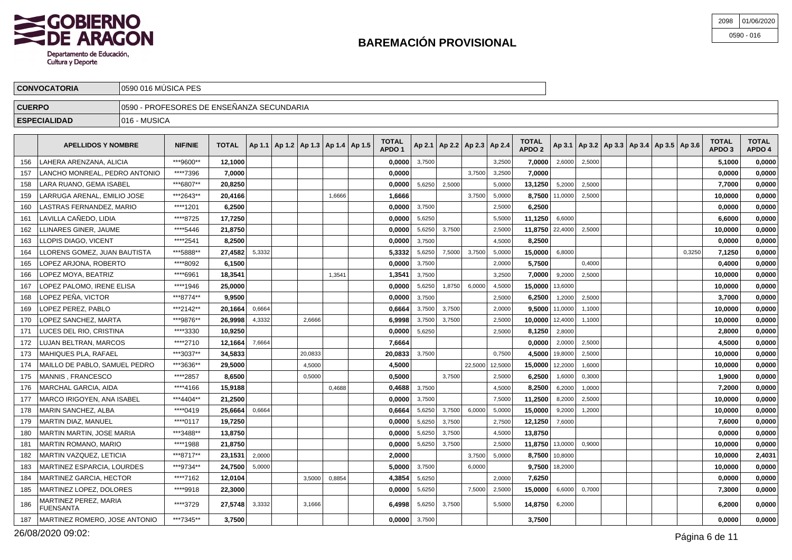

| 2098 01/06/2020 |
|-----------------|
| $0590 - 016$    |

|               | <b>CONVOCATORIA</b> | √l0590 016 MÚSICA PES                      |  |             |               |             |               |   |  |              |  |  |              |        |   |  |              |              |  |
|---------------|---------------------|--------------------------------------------|--|-------------|---------------|-------------|---------------|---|--|--------------|--|--|--------------|--------|---|--|--------------|--------------|--|
| <b>CUERPO</b> |                     | 10590 - PROFESORES DE ENSEÑANZA SECUNDARIA |  |             |               |             |               |   |  |              |  |  |              |        |   |  |              |              |  |
|               | <b>ESPECIALIDAD</b> | 016 - MUSICA                               |  |             |               |             |               |   |  |              |  |  |              |        |   |  |              |              |  |
|               | .                   |                                            |  | $- - - - -$ | $\sim$ $\sim$ | .<br>$\sim$ | $\sim$ $\sim$ | . |  | <b>TOTAL</b> |  |  | <b>TOTAL</b> | $\sim$ | . |  | <b>TOTAL</b> | <b>TOTAL</b> |  |

|     | <b>APELLIDOS Y NOMBRE</b>          | <b>NIF/NIE</b> | <b>TOTAL</b> |        | Ap 1.1   Ap 1.2   Ap 1.3   Ap 1.4   Ap 1.5 |        | TOTAL<br>APDO <sub>1</sub> |        | Ap 2.1   Ap 2.2   Ap 2.3   Ap 2.4 |         |         | <b>TOTAL</b><br>APDO <sub>2</sub> |         | Ap 3.1   Ap 3.2   Ap 3.3   Ap 3.4   Ap 3.5   Ap 3.6 |  |        | TOTAL<br>APDO <sub>3</sub> | <b>TOTAL</b><br>APDO 4 |
|-----|------------------------------------|----------------|--------------|--------|--------------------------------------------|--------|----------------------------|--------|-----------------------------------|---------|---------|-----------------------------------|---------|-----------------------------------------------------|--|--------|----------------------------|------------------------|
| 156 | LAHERA ARENZANA. ALICIA            | ***9600**      | 12,1000      |        |                                            |        | 0.0000                     | 3,7500 |                                   |         | 3,2500  | 7.0000                            | 2,6000  | 2,5000                                              |  |        | 5,1000                     | 0,0000                 |
| 157 | LANCHO MONREAL. PEDRO ANTONIO      | ****7396       | 7.0000       |        |                                            |        | 0.0000                     |        |                                   | 3.7500  | 3,2500  | 7,0000                            |         |                                                     |  |        | 0.0000                     | 0,0000                 |
| 158 | LARA RUANO, GEMA ISABEL            | ***6807**      | 20,8250      |        |                                            |        | 0,0000                     | 5.6250 | 2.5000                            |         | 5.0000  | 13.1250                           | 5,2000  | 2.5000                                              |  |        | 7,7000                     | 0,0000                 |
| 159 | LARRUGA ARENAL, EMILIO JOSE        | ***2643**      | 20.4166      |        |                                            | 1.6666 | 1,6666                     |        |                                   | 3.7500  | 5,0000  | 8.7500 11,0000                    |         | 2.5000                                              |  |        | 10,0000                    | 0,0000                 |
| 160 | LASTRAS FERNANDEZ, MARIO           | ****1201       | 6,2500       |        |                                            |        | 0,0000                     | 3,7500 |                                   |         | 2,5000  | 6,2500                            |         |                                                     |  |        | 0,0000                     | 0,0000                 |
| 161 | LAVILLA CAÑEDO, LIDIA              | ****8725       | 17,7250      |        |                                            |        | 0,0000                     | 5,6250 |                                   |         | 5,5000  | 11,1250                           | 6,6000  |                                                     |  |        | 6,6000                     | 0,0000                 |
| 162 | LLINARES GINER, JAUME              | ****5446       | 21,8750      |        |                                            |        | 0,0000                     | 5,6250 | 3,7500                            |         | 2,5000  | 11,8750 22,4000                   |         | 2,5000                                              |  |        | 10,0000                    | 0,0000                 |
| 163 | LLOPIS DIAGO, VICENT               | ****2541       | 8,2500       |        |                                            |        | 0,0000                     | 3,7500 |                                   |         | 4,5000  | 8,2500                            |         |                                                     |  |        | 0.0000                     | 0,0000                 |
| 164 | LLORENS GOMEZ, JUAN BAUTISTA       | ***5888**      | 27,4582      | 5,3332 |                                            |        | 5,3332                     | 5,6250 | 7,5000                            | 3,7500  | 5,0000  | 15,0000                           | 6,8000  |                                                     |  | 0,3250 | 7,1250                     | 0,0000                 |
| 165 | LOPEZ ARJONA, ROBERTO              | ****8092       | 6,1500       |        |                                            |        | 0,0000                     | 3,7500 |                                   |         | 2,0000  | 5.7500                            |         | 0,4000                                              |  |        | 0.4000                     | 0,0000                 |
| 166 | LOPEZ MOYA. BEATRIZ                | ****6961       | 18.3541      |        |                                            | 1.3541 | 1,354'                     | 3,7500 |                                   |         | 3.2500  | 7.0000                            | 9,2000  | 2.5000                                              |  |        | 10.0000                    | 0,0000                 |
| 167 | LOPEZ PALOMO. IRENE ELISA          | ****1946       | 25.0000      |        |                                            |        | 0.0000                     | 5,6250 | 1,8750                            | 6.0000  | 4,5000  | 15,0000                           | 13,6000 |                                                     |  |        | 10,0000                    | 0,0000                 |
| 168 | LOPEZ PEÑA. VICTOR                 | ***8774**      | 9.9500       |        |                                            |        | 0.0000                     | 3,7500 |                                   |         | 2,5000  | 6.2500                            | 1,2000  | 2,5000                                              |  |        | 3,7000                     | 0,0000                 |
| 169 | LOPEZ PEREZ, PABLO                 | ***2142**      | 20,1664      | 0,6664 |                                            |        | 0,6664                     | 3,7500 | 3,7500                            |         | 2,0000  | 9,5000                            | 11,0000 | 1,1000                                              |  |        | 10,0000                    | 0,0000                 |
| 170 | LOPEZ SANCHEZ, MARTA               | ***9876**      | 26,9998      | 4,3332 | 2,6666                                     |        | 6,9998                     | 3,7500 | 3,7500                            |         | 2,5000  | 10,0000 12,4000                   |         | 1,1000                                              |  |        | 10,0000                    | 0,0000                 |
| 171 | LUCES DEL RIO, CRISTINA            | ****3330       | 10,9250      |        |                                            |        | 0,0000                     | 5,6250 |                                   |         | 2,5000  | 8,1250                            | 2,8000  |                                                     |  |        | 2,8000                     | 0,0000                 |
| 172 | LUJAN BELTRAN, MARCOS              | ****2710       | 12,1664      | 7,6664 |                                            |        | 7,6664                     |        |                                   |         |         | 0.0000                            | 2,0000  | 2,5000                                              |  |        | 4,5000                     | 0,0000                 |
| 173 | MAHIQUES PLA. RAFAEL               | ***3037**      | 34,5833      |        | 20.0833                                    |        | 20,0833                    | 3.7500 |                                   |         | 0.7500  | 4.5000                            | 19,8000 | 2,5000                                              |  |        | 10,0000                    | 0,0000                 |
| 174 | MAILLO DE PABLO, SAMUEL PEDRO      | ***3636**      | 29.5000      |        | 4.5000                                     |        | 4,5000                     |        |                                   | 22.5000 | 12,5000 | 15,0000                           | 12,2000 | 1,6000                                              |  |        | 10.0000                    | 0,0000                 |
| 175 | MANNIS, FRANCESCO                  | ****2857       | 8,6500       |        | 0.5000                                     |        | 0,5000                     |        | 3,7500                            |         | 2,5000  | 6,2500                            | 1,6000  | 0,3000                                              |  |        | 1,9000                     | 0,0000                 |
| 176 | <b>MARCHAL GARCIA, AIDA</b>        | ****4166       | 15.9188      |        |                                            | 0,4688 | 0.4688                     | 3,7500 |                                   |         | 4,5000  | 8.2500                            | 6,2000  | 1,0000                                              |  |        | 7.2000                     | 0,0000                 |
| 177 | MARCO IRIGOYEN, ANA ISABEL         | ***4404**      | 21,2500      |        |                                            |        | 0,0000                     | 3,7500 |                                   |         | 7,5000  | 11,2500                           | 8,2000  | 2,5000                                              |  |        | 10,0000                    | 0,0000                 |
| 178 | MARIN SANCHEZ, ALBA                | ****0419       | 25,6664      | 0,6664 |                                            |        | 0,6664                     | 5,6250 | 3,7500                            | 6,0000  | 5,0000  | 15,0000                           | 9,2000  | 1,2000                                              |  |        | 10,0000                    | 0,0000                 |
| 179 | MARTIN DIAZ. MANUEL                | ****0117       | 19,7250      |        |                                            |        | 0,0000                     | 5,6250 | 3,7500                            |         | 2,7500  | 12,1250                           | 7,6000  |                                                     |  |        | 7,6000                     | 0,0000                 |
| 180 | MARTIN MARTIN. JOSE MARIA          | ***3488**      | 13,8750      |        |                                            |        | 0,0000                     | 5,6250 | 3,7500                            |         | 4,5000  | 13,8750                           |         |                                                     |  |        | 0,0000                     | 0,0000                 |
| 181 | <b>MARTIN ROMANO, MARIO</b>        | ****1988       | 21,8750      |        |                                            |        | 0,0000                     | 5,6250 | 3,7500                            |         | 2,5000  | 11,8750 13,0000                   |         | 0.9000                                              |  |        | 10,0000                    | 0,0000                 |
| 182 | MARTIN VAZQUEZ, LETICIA            | ***8717**      | 23,1531      | 2,0000 |                                            |        | 2,0000                     |        |                                   | 3,7500  | 5,0000  | 8,7500 10,8000                    |         |                                                     |  |        | 10.0000                    | 2,4031                 |
| 183 | MARTINEZ ESPARCIA, LOURDES         | ***9734**      | 24,7500      | 5,0000 |                                            |        | 5,0000                     | 3,7500 |                                   | 6.0000  |         | $9,7500$ 18,2000                  |         |                                                     |  |        | 10.0000                    | 0.0000                 |
| 184 | MARTINEZ GARCIA. HECTOR            | ****7162       | 12.0104      |        | 3,5000                                     | 0,8854 | 4,3854                     | 5,6250 |                                   |         | 2,0000  | 7,6250                            |         |                                                     |  |        | 0.0000                     | 0.0000                 |
| 185 | MARTINEZ LOPEZ, DOLORES            | ****9918       | 22,3000      |        |                                            |        | 0,0000                     | 5,6250 |                                   | 7,5000  | 2,5000  | 15,0000                           | 6,6000  | 0,7000                                              |  |        | 7,3000                     | 0,0000                 |
| 186 | MARTINEZ PEREZ, MARIA<br>FUENSANTA | ****3729       | 27,5748      | 3,3332 | 3,1666                                     |        | 6,4998                     | 5,6250 | 3,7500                            |         | 5,5000  | 14,8750                           | 6,2000  |                                                     |  |        | 6,2000                     | 0,0000                 |
| 187 | MARTINEZ ROMERO, JOSE ANTONIO      | ***7345**      | 3,7500       |        |                                            |        | 0.0000                     | 3,7500 |                                   |         |         | 3,7500                            |         |                                                     |  |        | 0.0000                     | 0,0000                 |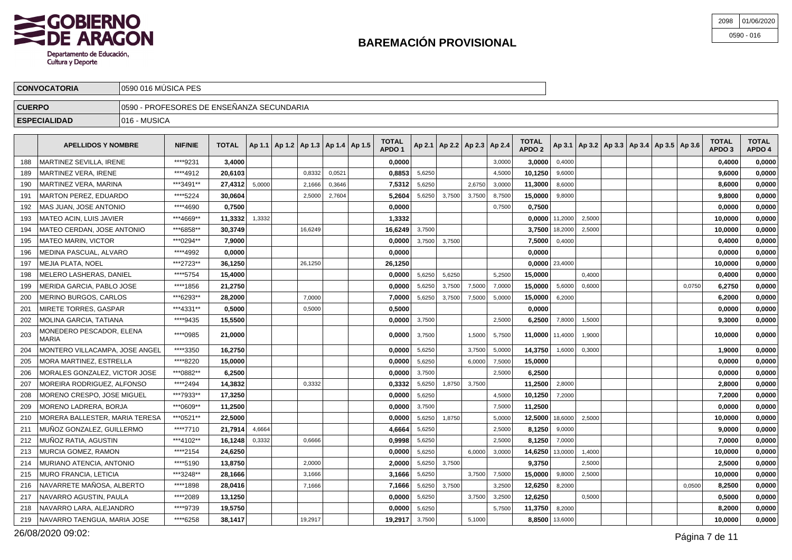

| 2098 | 01/06/2020   |
|------|--------------|
|      | $0590 - 016$ |

|               | <b>CONVOCATORIA</b>                       | 10590 016 MUSICA PES |                |              |  |  |   |  |                                                    |                        |  |                                       |        |                                   |        |  |  |                                                         |                                   |                        |
|---------------|-------------------------------------------|----------------------|----------------|--------------|--|--|---|--|----------------------------------------------------|------------------------|--|---------------------------------------|--------|-----------------------------------|--------|--|--|---------------------------------------------------------|-----------------------------------|------------------------|
| <b>CUERPO</b> | 0590 - PROFESORES DE ENSEÑANZA SECUNDARIA |                      |                |              |  |  |   |  |                                                    |                        |  |                                       |        |                                   |        |  |  |                                                         |                                   |                        |
|               | <b>ESPECIALIDAD</b>                       | 1016 - MUSICA        |                |              |  |  |   |  |                                                    |                        |  |                                       |        |                                   |        |  |  |                                                         |                                   |                        |
|               | <b>APELLIDOS Y NOMBRE</b>                 |                      | <b>NIF/NIE</b> | <b>TOTAL</b> |  |  |   |  | $\vert$ Ap 1.1   Ap 1.2   Ap 1.3   Ap 1.4   Ap 1.5 | <b>TOTAL</b><br>APDO ' |  | $ $ Ap 2.1   Ap 2.2   Ap 2.3   Ap 2.4 |        | <b>TOTAL</b><br>APDO <sub>2</sub> |        |  |  | $ $ Ap 3.1   Ap 3.2   Ap 3.3   Ap 3.4   Ap 3.5   Ap 3.6 | <b>TOTAL</b><br>APDO <sub>3</sub> | <b>TOTAL</b><br>APDO 4 |
| 188           | MARTINEZ SEVILLA, IRENE                   |                      | ****9231       | 3,4000       |  |  |   |  |                                                    | 0,0000                 |  |                                       | 3,0000 | 3,0000                            | 0,4000 |  |  |                                                         | 0,4000                            | 0,0000                 |
|               |                                           |                      | .              | -- - - - -   |  |  | . |  |                                                    | - -----                |  |                                       | .      | .                                 |        |  |  |                                                         | - ----                            | - ----                 |

| 189 | MARTINEZ VERA. IRENE              | ****4912  | 20.6103 |        | 0.8332  | 0,0521 | 0.8853  | 5.6250 |        |        | 4.5000 | 10.1250         | 9,6000           |        |  |        | 9.6000  | 0.0000 |
|-----|-----------------------------------|-----------|---------|--------|---------|--------|---------|--------|--------|--------|--------|-----------------|------------------|--------|--|--------|---------|--------|
| 190 | MARTINEZ VERA. MARINA             | ***3491** | 27,4312 | 5,0000 | 2.1666  | 0,3646 | 7,5312  | 5,6250 |        | 2.6750 | 3,0000 | 11.3000         | 8,6000           |        |  |        | 8,6000  | 0,0000 |
| 191 | MARTON PEREZ, EDUARDO             | **** 5224 | 30.0604 |        | 2,5000  | 2,7604 | 5,2604  | 5,6250 | 3,7500 | 3,7500 | 8,7500 | 15,0000         | 9,8000           |        |  |        | 9,8000  | 0,0000 |
| 192 | MAS JUAN. JOSE ANTONIO            | ****4690  | 0.7500  |        |         |        | 0.0000  |        |        |        | 0,7500 | 0.7500          |                  |        |  |        | 0.0000  | 0.0000 |
| 193 | MATEO ACIN. LUIS JAVIER           | ***4669** | 11,3332 | 1,3332 |         |        | 1,3332  |        |        |        |        | 0.0000          | 11,2000          | 2.5000 |  |        | 10,0000 | 0,0000 |
| 194 | MATEO CERDAN, JOSE ANTONIO        | ***6858** | 30,3749 |        | 16.6249 |        | 16,6249 | 3,7500 |        |        |        |                 | 3,7500 18,2000   | 2,5000 |  |        | 10,0000 | 0,0000 |
| 195 | MATEO MARIN, VICTOR               | ***0294** | 7,9000  |        |         |        | 0.0000  | 3,7500 | 3,7500 |        |        | 7.5000          | 0,4000           |        |  |        | 0,4000  | 0,0000 |
| 196 | MEDINA PASCUAL. ALVARO            | ****4992  | 0.0000  |        |         |        | 0,0000  |        |        |        |        | 0.0000          |                  |        |  |        | 0.0000  | 0.0000 |
| 197 | MEJIA PLATA. NOEL                 | ***2723** | 36.1250 |        | 26,1250 |        | 26,1250 |        |        |        |        |                 | $0.0000$ 23,4000 |        |  |        | 10.0000 | 0.0000 |
| 198 | MELERO LASHERAS. DANIEL           | ****5754  | 15,4000 |        |         |        | 0,0000  | 5,6250 | 5,6250 |        | 5,2500 | 15,0000         |                  | 0.4000 |  |        | 0,4000  | 0,0000 |
| 199 | MERIDA GARCIA. PABLO JOSE         | ****1856  | 21,2750 |        |         |        | 0,0000  | 5,6250 | 3,7500 | 7,5000 | 7,0000 | 15.0000         | 5,6000           | 0,6000 |  | 0,0750 | 6,2750  | 0,0000 |
| 200 | <b>MERINO BURGOS, CARLOS</b>      | ***6293** | 28.2000 |        | 7,0000  |        | 7.0000  | 5,6250 | 3,7500 | 7,5000 | 5,0000 | 15,0000         | 6,2000           |        |  |        | 6.2000  | 0.0000 |
| 201 | MIRETE TORRES. GASPAR             | ***4331** | 0.5000  |        | 0.500C  |        | 0.5000  |        |        |        |        | 0.0000          |                  |        |  |        | 0.0000  | 0.0000 |
| 202 | MOLINA GARCIA. TATIANA            | ****9435  | 15.5500 |        |         |        | 0,0000  | 3,7500 |        |        | 2,5000 | 6,2500          | 7,8000           | 1,5000 |  |        | 9,3000  | 0,0000 |
| 203 | MONEDERO PESCADOR, ELENA<br>MARIA | ****0985  | 21,0000 |        |         |        | 0,0000  | 3,7500 |        | 1,5000 | 5,7500 | 11.0000 11,4000 |                  | 1,9000 |  |        | 10,0000 | 0,0000 |
| 204 | MONTERO VILLACAMPA, JOSE ANGEL    | ****3350  | 16,2750 |        |         |        | 0,0000  | 5,6250 |        | 3,7500 | 5,0000 | 14.3750         | 1,6000           | 0,3000 |  |        | 1,9000  | 0,0000 |
| 205 | MORA MARTINEZ, ESTRELLA           | ****8220  | 15.0000 |        |         |        | 0,0000  | 5,6250 |        | 6,0000 | 7,5000 | 15,0000         |                  |        |  |        | 0.0000  | 0,0000 |
| 206 | MORALES GONZALEZ. VICTOR JOSE     | ***0882** | 6.2500  |        |         |        | 0.0000  | 3,7500 |        |        | 2,5000 | 6.2500          |                  |        |  |        | 0.0000  | 0.0000 |
| 207 | MOREIRA RODRIGUEZ, ALFONSO        | *****2494 | 14,3832 |        | 0.3332  |        | 0,3332  | 5,6250 | 1,8750 | 3,7500 |        | 11.2500         | 2,8000           |        |  |        | 2,8000  | 0.0000 |
| 208 | MORENO CRESPO. JOSE MIGUEL        | ***7933** | 17.3250 |        |         |        | 0,0000  | 5,6250 |        |        | 4.5000 | 10,1250         | 7,2000           |        |  |        | 7,2000  | 0.0000 |
| 209 | MORENO LADRERA. BORJA             | ***0609** | 11,2500 |        |         |        | 0,0000  | 3,7500 |        |        | 7,5000 | 11,2500         |                  |        |  |        | 0,0000  | 0,0000 |
| 210 | MORERA BALLESTER. MARIA TERESA    | ***0521** | 22.5000 |        |         |        | 0.0000  | 5,6250 | 1,8750 |        | 5,0000 | 12.5000         | 18,6000          | 2,5000 |  |        | 10.0000 | 0.0000 |
| 211 | MUNOZ GONZALEZ. GUILLERMO         | ****7710  | 21.7914 | 4,6664 |         |        | 4.6664  | 5,6250 |        |        | 2,5000 | 8.1250          | 9,0000           |        |  |        | 9.0000  | 0.0000 |
| 212 | MUÑOZ RATIA. AGUSTIN              | ***4102** | 16,1248 | 0,3332 | 0.6666  |        | 0,9998  | 5,6250 |        |        | 2.5000 | 8.1250          | 7,0000           |        |  |        | 7,0000  | 0,0000 |
| 213 | MURCIA GOMEZ. RAMON               | ****2154  | 24,6250 |        |         |        | 0,0000  | 5,6250 |        | 6,0000 | 3,0000 | 14,6250         | 13,0000          | 1,4000 |  |        | 10,0000 | 0,0000 |
| 214 | MURIANO ATENCIA. ANTONIO          | ****5190  | 13.8750 |        | 2,0000  |        | 2.0000  | 5,6250 | 3,7500 |        |        | 9.3750          |                  | 2,5000 |  |        | 2.5000  | 0.0000 |
| 215 | <b>MURO FRANCIA, LETICIA</b>      | ***3248** | 28,1666 |        | 3.1666  |        | 3.1666  | 5,6250 |        | 3.7500 | 7,5000 | 15,0000         | 9.8000           | 2,5000 |  |        | 10,0000 | 0.0000 |
| 216 | NAVARRETE MAÑOSA, ALBERTO         | ****1898  | 28,0416 |        | 7.1666  |        | 7,1666  | 5,6250 | 3,7500 |        | 3,2500 | 12,6250         | 8,2000           |        |  | 0.0500 | 8,2500  | 0,0000 |
| 217 | NAVARRO AGUSTIN. PAULA            | ****2089  | 13,1250 |        |         |        | 0,0000  | 5,6250 |        | 3,7500 | 3,2500 | 12.6250         |                  | 0,5000 |  |        | 0.5000  | 0.0000 |
| 218 | NAVARRO LARA. ALEJANDRO           | ****9739  | 19,5750 |        |         |        | 0,0000  | 5,6250 |        |        | 5,7500 | 11,3750         | 8,2000           |        |  |        | 8,2000  | 0,0000 |
| 219 | NAVARRO TAENGUA. MARIA JOSE       | ****6258  | 38.1417 |        | 19.2917 |        | 19.2917 | 3,7500 |        | 5.1000 |        |                 | 8,8500 13,6000   |        |  |        | 10.0000 | 0.0000 |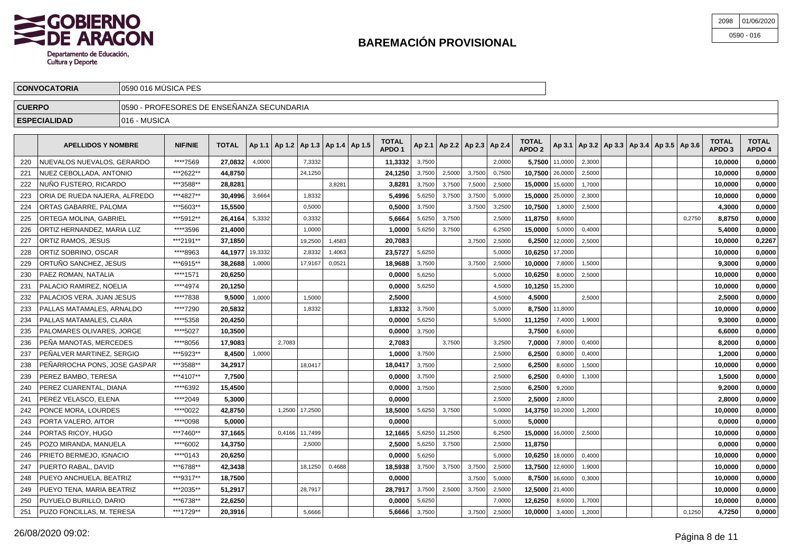

| 2098 01/06/2020 |
|-----------------|
| 0590 - 016      |

| <b>CONVOCATORIA</b> | lo590 016 MÚSICA PES                         |              |  |  |  |  |  |  |
|---------------------|----------------------------------------------|--------------|--|--|--|--|--|--|
| <b>CUERPO</b>       | 0590 - PROFESORES DE ENSEÑANZA SECUNDARIA    |              |  |  |  |  |  |  |
| <b>ESPECIALIDAD</b> | $ 016 - MUSICA$                              |              |  |  |  |  |  |  |
|                     | <b>TOTAL</b><br><b>TOTAL</b><br><b>TOTAL</b> | <b>TOTAL</b> |  |  |  |  |  |  |

|     | <b>APELLIDOS Y NOMBRE</b>     | <b>NIF/NIE</b> | <b>TOTAL</b> |         | Ap 1.1   Ap 1.2   Ap 1.3   Ap 1.4   Ap 1.5 |         |        | TOTAL<br>APDO <sub>1</sub> |        |         |        | Ap 2.1   Ap 2.2   Ap 2.3   Ap 2.4 | TOTAL<br>APDO <sub>2</sub> |         | Ap 3.1   Ap 3.2   Ap 3.3   Ap 3.4   Ap 3.5   Ap 3.6 |  |        | TOTAL<br>APDO <sub>3</sub> | <b>TOTAL</b><br>APDO 4 |
|-----|-------------------------------|----------------|--------------|---------|--------------------------------------------|---------|--------|----------------------------|--------|---------|--------|-----------------------------------|----------------------------|---------|-----------------------------------------------------|--|--------|----------------------------|------------------------|
| 220 | NUEVALOS NUEVALOS, GERARDO    | ****7569       | 27.0832      | 4,0000  |                                            | 7,3332  |        | 11,3332                    | 3,7500 |         |        | 2,0000                            | 5.7500                     | 11,0000 | 2,3000                                              |  |        | 10,0000                    | 0,0000                 |
| 221 | NUEZ CEBOLLADA. ANTONIO       | ***2622**      | 44,8750      |         |                                            | 24,1250 |        | 24,1250                    | 3,7500 | 2,5000  | 3,7500 | 0,7500                            | 10,7500                    | 26,0000 | 2,5000                                              |  |        | 10,0000                    | 0,0000                 |
| 222 | NUÑO FUSTERO. RICARDO         | ***3588**      | 28,8281      |         |                                            |         | 3.8281 | 3,8281                     | 3,7500 | 3,7500  | 7.5000 | 2,5000                            | 15,0000                    | 15,6000 | 1.7000                                              |  |        | 10,0000                    | 0,0000                 |
| 223 | ORIA DE RUEDA NAJERA, ALFREDO | ***4827**      | 30,4996      | 3,6664  |                                            | 1,8332  |        | 5,4996                     | 5,6250 | 3,7500  | 3,7500 | 5,0000                            | 15,0000                    | 25,0000 | 2,3000                                              |  |        | 10,0000                    | 0,0000                 |
| 224 | ORTAS GABARRE, PALOMA         | ***5603**      | 15,5500      |         |                                            | 0,5000  |        | 0,5000                     | 3,7500 |         | 3.7500 | 3,2500                            | 10,7500                    | 1,8000  | 2,5000                                              |  |        | 4,3000                     | 0,0000                 |
| 225 | ORTEGA MOLINA. GABRIEL        | ***5912**      | 26.4164      | 5,3332  |                                            | 0,3332  |        | 5.6664                     | 5,6250 | 3,7500  |        | 2,5000                            | 11.8750                    | 8,6000  |                                                     |  | 0,2750 | 8.8750                     | 0.0000                 |
| 226 | ORTIZ HERNANDEZ, MARIA LUZ    | ****3596       | 21,4000      |         |                                            | 1,0000  |        | 1,0000                     | 5,6250 | 3,7500  |        | 6,2500                            | 15,0000                    | 5,0000  | 0,4000                                              |  |        | 5,4000                     | 0,0000                 |
| 227 | ORTIZ RAMOS, JESUS            | ***2191**      | 37,1850      |         |                                            | 19,2500 | 1,4583 | 20,7083                    |        |         | 3,7500 | 2,5000                            | 6.2500                     | 12,0000 | 2,5000                                              |  |        | 10.0000                    | 0,2267                 |
| 228 | ORTIZ SOBRINO, OSCAR          | ****8963       | 44,1977      | 19,3332 |                                            | 2,8332  | 1,4063 | 23,5727                    | 5,6250 |         |        | 5,0000                            | 10,6250                    | 17,2000 |                                                     |  |        | 10,0000                    | 0,0000                 |
| 229 | ORTUÑO SANCHEZ. JESUS         | ***6915**      | 38,2688      | 1,0000  |                                            | 17,9167 | 0,0521 | 18,9688                    | 3,7500 |         | 3.7500 | 2,5000                            | 10.0000                    | 7,8000  | 1,5000                                              |  |        | 9,3000                     | 0,0000                 |
| 230 | PAEZ ROMAN, NATALIA           | ****1571       | 20,6250      |         |                                            |         |        | 0,0000                     | 5,6250 |         |        | 5,0000                            | 10,6250                    | 8,0000  | 2,5000                                              |  |        | 10,0000                    | 0,0000                 |
| 231 | PALACIO RAMIREZ. NOELIA       | ****4974       | 20,1250      |         |                                            |         |        | 0,0000                     | 5,6250 |         |        | 4,5000                            | 10,1250                    | 15,2000 |                                                     |  |        | 10,0000                    | 0,0000                 |
| 232 | PALACIOS VERA. JUAN JESUS     | ****7838       | 9.5000       | 1,0000  |                                            | 1.5000  |        | 2.5000                     |        |         |        | 4,5000                            | 4.5000                     |         | 2.5000                                              |  |        | 2.5000                     | 0,0000                 |
| 233 | PALLAS MATAMALES, ARNALDO     | ****7290       | 20,5832      |         |                                            | 1,8332  |        | 1,8332                     | 3,7500 |         |        | 5,0000                            | 8,7500                     | 11,8000 |                                                     |  |        | 10,0000                    | 0,0000                 |
| 234 | PALLAS MATAMALES. CLARA       | ****5358       | 20,4250      |         |                                            |         |        | 0.0000                     | 5,6250 |         |        | 5,5000                            | 11,1250                    | 7,4000  | 1,9000                                              |  |        | 9.3000                     | 0,0000                 |
| 235 | PALOMARES OLIVARES, JORGE     | ****5027       | 10,3500      |         |                                            |         |        | 0,0000                     | 3,7500 |         |        |                                   | 3,7500                     | 6,6000  |                                                     |  |        | 6,6000                     | 0,0000                 |
| 236 | PENA MANOTAS, MERCEDES        | ****8056       | 17,9083      |         | 2,7083                                     |         |        | 2,7083                     |        | 3,7500  |        | 3,2500                            | 7,0000                     | 7,8000  | 0,4000                                              |  |        | 8,2000                     | 0,0000                 |
| 237 | PEÑALVER MARTINEZ. SERGIO     | ***5923**      | 8.4500       | 1,0000  |                                            |         |        | 1.0000                     | 3,7500 |         |        | 2,5000                            | 6.2500                     | 0,8000  | 0,4000                                              |  |        | 1.2000                     | 0,0000                 |
| 238 | PEÑARROCHA PONS, JOSE GASPAR  | ***3588**      | 34,2917      |         |                                            | 18,0417 |        | 18,0417                    | 3,7500 |         |        | 2,5000                            | 6,2500                     | 8,6000  | 1,5000                                              |  |        | 10,0000                    | 0,0000                 |
| 239 | PEREZ BAMBO, TERESA           | ***4107**      | 7,7500       |         |                                            |         |        | 0,0000                     | 3.7500 |         |        | 2,5000                            | 6.2500                     | 0,4000  | 1.1000                                              |  |        | 1,5000                     | 0,0000                 |
| 240 | PEREZ CUARENTAL, DIANA        | ****6392       | 15,4500      |         |                                            |         |        | 0,0000                     | 3,7500 |         |        | 2,5000                            | 6,2500                     | 9,2000  |                                                     |  |        | 9,2000                     | 0,0000                 |
| 241 | PEREZ VELASCO. ELENA          | ****2049       | 5.3000       |         |                                            |         |        | 0.0000                     |        |         |        | 2,5000                            | 2.5000                     | 2,8000  |                                                     |  |        | 2,8000                     | 0,0000                 |
| 242 | PONCE MORA. LOURDES           | ****0022       | 42.8750      |         | 1,2500                                     | 17,2500 |        | 18.5000                    | 5,6250 | 3,7500  |        | 5,0000                            | 14.3750                    | 10,2000 | 1,2000                                              |  |        | 10.0000                    | 0,0000                 |
| 243 | PORTA VALERO, AITOR           | ****0098       | 5,0000       |         |                                            |         |        | 0.0000                     |        |         |        | 5,0000                            | 5.0000                     |         |                                                     |  |        | 0.0000                     | 0,0000                 |
| 244 | PORTAS RICOY. HUGO            | ***7460**      | 37,1665      |         | 0,4166                                     | 11,7499 |        | 12.1665                    | 5,6250 | 11,2500 |        | 6,2500                            | 15,0000                    | 16,0000 | 2,5000                                              |  |        | 10,0000                    | 0,0000                 |
| 245 | POZO MIRANDA, MANUELA         | ****6002       | 14,3750      |         |                                            | 2,5000  |        | 2,5000                     | 5,6250 | 3,7500  |        | 2,5000                            | 11,8750                    |         |                                                     |  |        | 0,0000                     | 0,0000                 |
| 246 | PRIETO BERMEJO, IGNACIO       | ****0143       | 20,6250      |         |                                            |         |        | 0,0000                     | 5,6250 |         |        | 5,0000                            | 10,6250                    | 18,0000 | 0,4000                                              |  |        | 10.0000                    | 0,0000                 |
| 247 | PUERTO RABAL, DAVID           | ***6788**      | 42,3438      |         |                                            | 18,1250 | 0,4688 | 18,5938                    | 3,7500 | 3,7500  | 3,7500 | 2,5000                            | 13,7500                    | 12,6000 | 1,9000                                              |  |        | 10,0000                    | 0,0000                 |
| 248 | PUEYO ANCHUELA, BEATRIZ       | ***9317**      | 18,7500      |         |                                            |         |        | 0,0000                     |        |         | 3,7500 | 5,0000                            | 8,7500                     | 16,6000 | 0,3000                                              |  |        | 10,0000                    | 0,0000                 |
| 249 | PUEYO TENA, MARIA BEATRIZ     | ***2035**      | 51,2917      |         |                                            | 28,7917 |        | 28,7917                    | 3,7500 | 2,5000  | 3,7500 | 2,5000                            | 12,5000 21,4000            |         |                                                     |  |        | 10,0000                    | 0,0000                 |
| 250 | PUYUELO BURILLO, DARIO        | ***6738**      | 22,6250      |         |                                            |         |        | 0,0000                     | 5,6250 |         |        | 7,0000                            | 12,6250                    | 8,6000  | 1,7000                                              |  |        | 10,0000                    | 0,0000                 |
| 251 | PUZO FONCILLAS, M. TERESA     | ***1729**      | 20.3916      |         |                                            | 5.6666  |        | 5.6666                     | 3.7500 |         | 3.7500 | 2.5000                            | 10.0000                    | 3,4000  | 1,2000                                              |  | 0.1250 | 4.7250                     | 0.0000                 |
|     |                               |                |              |         |                                            |         |        |                            |        |         |        |                                   |                            |         |                                                     |  |        |                            |                        |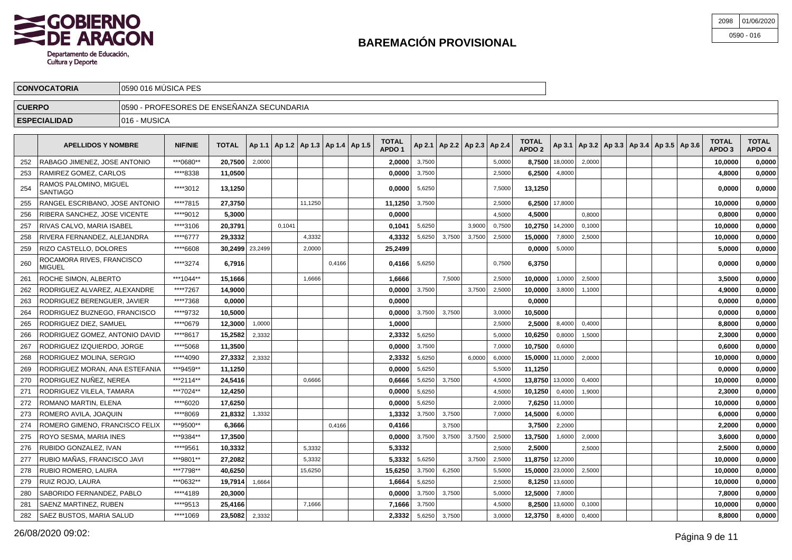

| 2098 01/06/2020 |
|-----------------|
| 0590 - 016      |

| <b>CUERPO</b><br>JFESORES DE ENSEÑANZA SECUNDARIA<br> 0590<br>- PROF | <b>CONVOCATORIA</b>      | ÚSICA PES<br>$IACOOO12$ MI |  |
|----------------------------------------------------------------------|--------------------------|----------------------------|--|
|                                                                      |                          |                            |  |
| сэг                                                                  | <b>ECIALIDAD</b><br>сері | MUSICA<br>1016             |  |

|     | <b>APELLIDOS Y NOMBRE</b>                  | <b>NIF/NIE</b> | <b>TOTAL</b>    |        | Ap 1.1   Ap 1.2   Ap 1.3   Ap 1.4   Ap 1.5 |         |        | TOTAL<br>APDO <sub>1</sub> |        | Ap 2.1   Ap 2.2   Ap 2.3   Ap 2.4 |        |        | <b>TOTAL</b><br>APDO <sub>2</sub> |                |        | Ap 3.1   Ap 3.2   Ap 3.3   Ap 3.4   Ap 3.5   Ap 3.6 |  | TOTAL<br>APDO <sub>3</sub> | <b>TOTAL</b><br>APDO 4 |
|-----|--------------------------------------------|----------------|-----------------|--------|--------------------------------------------|---------|--------|----------------------------|--------|-----------------------------------|--------|--------|-----------------------------------|----------------|--------|-----------------------------------------------------|--|----------------------------|------------------------|
| 252 | RABAGO JIMENEZ, JOSE ANTONIO               | ***0680**      | 20.7500         | 2,0000 |                                            |         |        | 2.00001                    | 3.7500 |                                   |        | 5.0000 | 8.7500                            | 18,0000        | 2.0000 |                                                     |  | 10,0000                    | 0,0000                 |
| 253 | RAMIREZ GOMEZ, CARLOS                      | ****8338       | 11,0500         |        |                                            |         |        | 0,0000                     | 3,7500 |                                   |        | 2,5000 | 6,2500                            | 4,8000         |        |                                                     |  | 4.8000                     | 0,0000                 |
| 254 | RAMOS PALOMINO, MIGUEL<br>SANTIAGO         | ****3012       | 13,1250         |        |                                            |         |        | 0,0000                     | 5,6250 |                                   |        | 7,5000 | 13,1250                           |                |        |                                                     |  | 0.0000                     | 0,0000                 |
| 255 | RANGEL ESCRIBANO, JOSE ANTONIO             | ****7815       | 27,3750         |        |                                            | 11,1250 |        | 11,1250                    | 3,7500 |                                   |        | 2,5000 |                                   | 6.2500 17,8000 |        |                                                     |  | 10,0000                    | 0,0000                 |
| 256 | RIBERA SANCHEZ, JOSE VICENTE               | ****9012       | 5,3000          |        |                                            |         |        | 0,0000                     |        |                                   |        | 4.5000 | 4.5000                            |                | 0.8000 |                                                     |  | 0,8000                     | 0,0000                 |
| 257 | RIVAS CALVO, MARIA ISABEL                  | ****3106       | 20,3791         |        | 0,1041                                     |         |        | 0,1041                     | 5,6250 |                                   | 3,9000 | 0,7500 | 10,2750 14,2000                   |                | 0,1000 |                                                     |  | 10,0000                    | 0,0000                 |
| 258 | RIVERA FERNANDEZ, ALEJANDRA                | ****6777       | 29,3332         |        |                                            | 4,3332  |        | 4,3332                     | 5,6250 | 3,7500                            | 3,7500 | 2,5000 | 15,0000                           | 7,8000         | 2,5000 |                                                     |  | 10,0000                    | 0,0000                 |
| 259 | RIZO CASTELLO, DOLORES                     | ****6608       | 30,2499 23,2499 |        |                                            | 2,0000  |        | 25,2499                    |        |                                   |        |        | 0,0000                            | 5,0000         |        |                                                     |  | 5,0000                     | 0,0000                 |
| 260 | ROCAMORA RIVES, FRANCISCO<br><b>MIGUEL</b> | ****3274       | 6,7916          |        |                                            |         | 0.4166 | 0.4166                     | 5,6250 |                                   |        | 0,7500 | 6,3750                            |                |        |                                                     |  | 0.0000                     | 0,0000                 |
| 261 | ROCHE SIMON, ALBERTO                       | ***1044**      | 15,1666         |        |                                            | 1,6666  |        | 1,6666                     |        | 7.5000                            |        | 2,5000 | 10.0000                           | 1,0000         | 2,5000 |                                                     |  | 3,5000                     | 0,0000                 |
| 262 | RODRIGUEZ ALVAREZ, ALEXANDRE               | ****7267       | 14,9000         |        |                                            |         |        | 0,0000                     | 3,7500 |                                   | 3,7500 | 2,5000 | 10,0000                           | 3,8000         | 1,1000 |                                                     |  | 4,9000                     | 0,0000                 |
| 263 | RODRIGUEZ BERENGUER, JAVIER                | ****7368       | 0,0000          |        |                                            |         |        | 0.0000                     |        |                                   |        |        | 0.0000                            |                |        |                                                     |  | 0.0000                     | 0,0000                 |
| 264 | RODRIGUEZ BUZNEGO, FRANCISCO               | ****9732       | 10,5000         |        |                                            |         |        | 0,0000                     | 3,7500 | 3,7500                            |        | 3,0000 | 10,5000                           |                |        |                                                     |  | 0,0000                     | 0,0000                 |
| 265 | RODRIGUEZ DIEZ, SAMUEL                     | ****0679       | 12,3000         | 1,0000 |                                            |         |        | 1,0000                     |        |                                   |        | 2,5000 | 2,5000                            | 8,4000         | 0,4000 |                                                     |  | 8,8000                     | 0,0000                 |
| 266 | RODRIGUEZ GOMEZ, ANTONIO DAVID             | ****8617       | 15,2582         | 2,3332 |                                            |         |        | 2,3332                     | 5,6250 |                                   |        | 5,0000 | 10,6250                           | 0,8000         | 1,5000 |                                                     |  | 2,3000                     | 0,0000                 |
| 267 | RODRIGUEZ IZQUIERDO. JORGE                 | ****5068       | 11,3500         |        |                                            |         |        | 0.0000                     | 3,7500 |                                   |        | 7,0000 | 10.7500                           | 0,6000         |        |                                                     |  | 0.6000                     | 0,0000                 |
| 268 | RODRIGUEZ MOLINA, SERGIO                   | ****4090       | 27,3332         | 2,3332 |                                            |         |        | 2,3332                     | 5,6250 |                                   | 6.0000 | 6,0000 | 15.0000 11,0000                   |                | 2,0000 |                                                     |  | 10,0000                    | 0,0000                 |
| 269 | RODRIGUEZ MORAN, ANA ESTEFANIA             | ***9459**      | 11,1250         |        |                                            |         |        | 0,0000                     | 5,6250 |                                   |        | 5,5000 | 11,1250                           |                |        |                                                     |  | 0,0000                     | 0,0000                 |
| 270 | RODRIGUEZ NUÑEZ, NEREA                     | ***2114**      | 24,5416         |        |                                            | 0.6666  |        | 0,6666                     | 5,6250 | 3,7500                            |        | 4,5000 | 13,8750 13,0000                   |                | 0,4000 |                                                     |  | 10,0000                    | 0,0000                 |
| 271 | RODRIGUEZ VILELA, TAMARA                   | ***7024**      | 12,4250         |        |                                            |         |        | 0,0000                     | 5,6250 |                                   |        | 4,5000 | 10,1250                           | 0,4000         | 1,9000 |                                                     |  | 2,3000                     | 0,0000                 |
| 272 | ROMANO MARTIN, ELENA                       | ****6020       | 17,6250         |        |                                            |         |        | 0.0000                     | 5,6250 |                                   |        | 2.0000 |                                   | 7,6250 11,0000 |        |                                                     |  | 10,0000                    | 0,0000                 |
| 273 | ROMERO AVILA, JOAQUIN                      | ****8069       | 21,8332         | 1,3332 |                                            |         |        | 1,3332                     | 3,7500 | 3,7500                            |        | 7,0000 | 14.5000                           | 6,0000         |        |                                                     |  | 6,0000                     | 0,0000                 |
| 274 | ROMERO GIMENO, FRANCISCO FELIX             | ***9500**      | 6,3666          |        |                                            |         | 0,4166 | 0,4166                     |        | 3,7500                            |        |        | 3,7500                            | 2,2000         |        |                                                     |  | 2,2000                     | 0,0000                 |
| 275 | ROYO SESMA, MARIA INES                     | ***9384**      | 17,3500         |        |                                            |         |        | 0,0000                     | 3,7500 | 3,7500                            | 3,7500 | 2,5000 | 13,7500                           | 1,6000         | 2,0000 |                                                     |  | 3,6000                     | 0,0000                 |
| 276 | RUBIDO GONZALEZ. IVAN                      | ****9561       | 10,3332         |        |                                            | 5.3332  |        | 5,3332                     |        |                                   |        | 2.5000 | 2.5000                            |                | 2.5000 |                                                     |  | 2,5000                     | 0,0000                 |
| 277 | RUBIO MAÑAS. FRANCISCO JAVI                | ***9801**      | 27,2082         |        |                                            | 5,3332  |        | 5,3332                     | 5,6250 |                                   | 3.7500 | 2,5000 | 11,8750 12,2000                   |                |        |                                                     |  | 10,0000                    | 0,0000                 |
| 278 | RUBIO ROMERO, LAURA                        | ***7798**      | 40,6250         |        |                                            | 15,6250 |        | 15,6250                    | 3,7500 | 6,2500                            |        | 5,5000 | 15,0000 23,0000                   |                | 2,5000 |                                                     |  | 10,0000                    | 0,0000                 |
| 279 | RUIZ ROJO, LAURA                           | ***0632**      | 19,7914         | 1,6664 |                                            |         |        | 1,6664                     | 5,6250 |                                   |        | 2,5000 |                                   | 8,1250 13,6000 |        |                                                     |  | 10,0000                    | 0,0000                 |
| 280 | SABORIDO FERNANDEZ, PABLO                  | ****4189       | 20,3000         |        |                                            |         |        | 0,0000                     | 3,7500 | 3,7500                            |        | 5,0000 | 12,5000 7,8000                    |                |        |                                                     |  | 7.8000                     | 0,0000                 |
| 281 | SAENZ MARTINEZ, RUBEN                      | ****9513       | 25,4166         |        |                                            | 7.1666  |        | 7,1666                     | 3.7500 |                                   |        | 4.5000 | 8.2500                            | 13,6000        | 0.1000 |                                                     |  | 10,0000                    | 0,0000                 |
| 282 | SAEZ BUSTOS, MARIA SALUD                   | ****1069       | 23,5082         | 2,3332 |                                            |         |        | 2.3332                     | 5,6250 | 3,7500                            |        | 3.0000 | 12.3750   8,4000                  |                | 0.4000 |                                                     |  | 8.8000                     | 0,0000                 |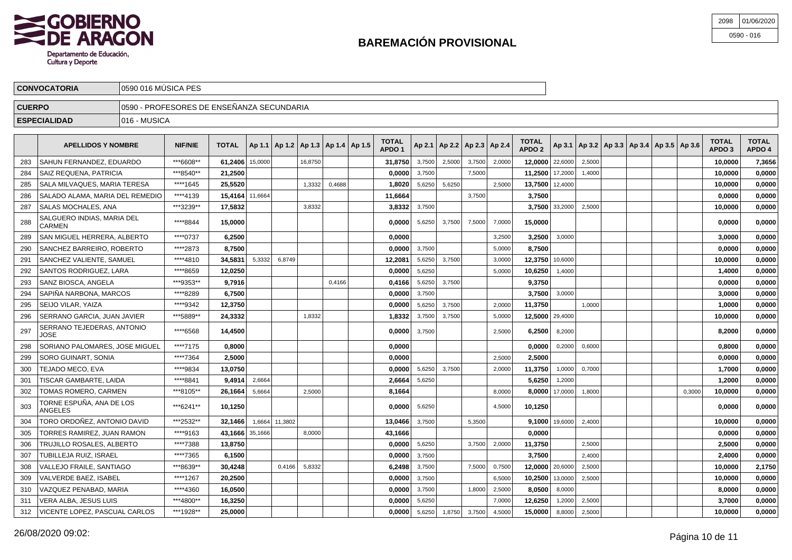

| 2098 01/06/2020 |
|-----------------|
| 0590 - 016      |

|                                      | <b>CONVOCATORIA</b>       | 10590 016 MUSICA PES                       |                |              |  |  |  |  |                                                    |                 |  |  |  |                                       |                        |  |  |                                                         |                                   |                        |
|--------------------------------------|---------------------------|--------------------------------------------|----------------|--------------|--|--|--|--|----------------------------------------------------|-----------------|--|--|--|---------------------------------------|------------------------|--|--|---------------------------------------------------------|-----------------------------------|------------------------|
| <b>CUERPO</b>                        |                           | 10590 - PROFESORES DE ENSEÑANZA SECUNDARIA |                |              |  |  |  |  |                                                    |                 |  |  |  |                                       |                        |  |  |                                                         |                                   |                        |
| 1016 - MUSICA<br><b>ESPECIALIDAD</b> |                           |                                            |                |              |  |  |  |  |                                                    |                 |  |  |  |                                       |                        |  |  |                                                         |                                   |                        |
|                                      | <b>APELLIDOS Y NOMBRE</b> |                                            | <b>NIF/NIE</b> | <b>TOTAL</b> |  |  |  |  | $\vert$ Ap 1.1   Ap 1.2   Ap 1.3   Ap 1.4   Ap 1.5 | TOTAL<br>APDO 1 |  |  |  | $ $ Ap 2.1   Ap 2.2   Ap 2.3   Ap 2.4 | <b>TOTAL</b><br>APDO 2 |  |  | $ $ Ap 3.1   Ap 3.2   Ap 3.3   Ap 3.4   Ap 3.5   Ap 3.6 | <b>TOTAL</b><br>APDO <sub>3</sub> | <b>TOTAL</b><br>APDO 4 |

| 283 | SAHUN FERNANDEZ, EDUARDO             | ***6608** | 61.2406 15,0000 |        |         | 16.8750 |        | 31.8750 | 3,7500 | 2,5000 | 3,7500 | 2,0000 |                 | $12,0000$   22,6000 | 2.5000 |  |        | 10.0000 | 7,3656 |
|-----|--------------------------------------|-----------|-----------------|--------|---------|---------|--------|---------|--------|--------|--------|--------|-----------------|---------------------|--------|--|--------|---------|--------|
| 284 | SAIZ REQUENA, PATRICIA               | ***8540** | 21,2500         |        |         |         |        | 0.0000  | 3,7500 |        | 7.5000 |        | 11.2500 17,2000 |                     | 1,4000 |  |        | 10.0000 | 0.0000 |
| 285 | SALA MILVAQUES, MARIA TERESA         | ****1645  | 25,5520         |        |         | 1,3332  | 0,4688 | 1,8020  | 5,6250 | 5,6250 |        | 2,5000 | 13,7500 12,4000 |                     |        |  |        | 10,0000 | 0,0000 |
| 286 | SALADO ALAMA. MARIA DEL REMEDIO      | ****4139  | 15.4164 11,6664 |        |         |         |        | 11.6664 |        |        | 3,7500 |        | 3.7500          |                     |        |  |        | 0.0000  | 0,0000 |
| 287 | SALAS MOCHALES. ANA                  | ***3239** | 17,5832         |        |         | 3,8332  |        | 3,8332  | 3,7500 |        |        |        |                 | 3,7500 33,2000      | 2,5000 |  |        | 10.0000 | 0,0000 |
| 288 | SALGUERO INDIAS, MARIA DEL<br>CARMEN | ****8844  | 15,0000         |        |         |         |        | 0.0000  | 5,6250 | 3,7500 | 7,5000 | 7,0000 | 15,0000         |                     |        |  |        | 0.0000  | 0,0000 |
| 289 | SAN MIGUEL HERRERA. ALBERTO          | ****0737  | 6.2500          |        |         |         |        | 0.0000  |        |        |        | 3.2500 | 3.2500          | 3.0000              |        |  |        | 3.0000  | 0,0000 |
| 290 | SANCHEZ BARREIRO, ROBERTO            | ****2873  | 8,7500          |        |         |         |        | 0,0000  | 3.7500 |        |        | 5,0000 | 8.7500          |                     |        |  |        | 0,0000  | 0,0000 |
| 291 | SANCHEZ VALIENTE, SAMUEL             | ****4810  | 34,5831         | 5,3332 | 6,8749  |         |        | 12,2081 | 5,6250 | 3,7500 |        | 3,0000 | 12,3750 10,6000 |                     |        |  |        | 10,0000 | 0,0000 |
| 292 | SANTOS RODRIGUEZ, LARA               | ****8659  | 12,0250         |        |         |         |        | 0,0000  | 5,6250 |        |        | 5,0000 | 10,6250         | 1,4000              |        |  |        | 1,4000  | 0,0000 |
| 293 | SANZ BIOSCA, ANGELA                  | ***9353** | 9.7916          |        |         |         | 0.4166 | 0,4166  | 5,6250 | 3,7500 |        |        | 9.3750          |                     |        |  |        | 0.0000  | 0,0000 |
| 294 | SAPIÑA NARBONA, MARCOS               | ****8289  | 6,7500          |        |         |         |        | 0,0000  | 3,7500 |        |        |        |                 | $3,7500$ 3,0000     |        |  |        | 3.0000  | 0,0000 |
| 295 | SEIJO VILAR. YAIZA                   | ****9342  | 12,3750         |        |         |         |        | 0,0000  | 5,6250 | 3,7500 |        | 2.0000 | 11,3750         |                     | 1,0000 |  |        | 1,0000  | 0,0000 |
| 296 | SERRANO GARCIA, JUAN JAVIER          | ***5889** | 24,3332         |        |         | 1,8332  |        | 1,8332  | 3,7500 | 3,7500 |        | 5,0000 | 12,5000 29,4000 |                     |        |  |        | 10,0000 | 0,0000 |
| 297 | SERRANO TEJEDERAS, ANTONIO<br>JOSE   | ****6568  | 14,4500         |        |         |         |        | 0,0000  | 3,7500 |        |        | 2,5000 | 6,2500          | 8,2000              |        |  |        | 8,2000  | 0,0000 |
| 298 | SORIANO PALOMARES. JOSE MIGUEL       | ****7175  | 0.8000          |        |         |         |        | 0,0000  |        |        |        |        | 0.00001         | 0,2000              | 0,6000 |  |        | 0.8000  | 0,0000 |
| 299 | SORO GUINART, SONIA                  | ****7364  | 2.5000          |        |         |         |        | 0.0000  |        |        |        | 2.5000 | 2.5000          |                     |        |  |        | 0.0000  | 0,0000 |
| 300 | TEJADO MECO. EVA                     | ****9834  | 13.0750         |        |         |         |        | 0.0000  | 5,6250 | 3,7500 |        | 2.0000 | 11.3750         | 1,0000              | 0.7000 |  |        | 1,7000  | 0,0000 |
| 301 | TISCAR GAMBARTE, LAIDA               | ****8841  | 9,4914          | 2,6664 |         |         |        | 2,6664  | 5,6250 |        |        |        |                 | $5,6250$ 1,2000     |        |  |        | 1,2000  | 0,0000 |
| 302 | TOMAS ROMERO, CARMEN                 | ***8105** | 26,1664         | 5,6664 |         | 2,5000  |        | 8,1664  |        |        |        | 8,0000 |                 | 8,0000 17,0000      | 1,8000 |  | 0,3000 | 10,0000 | 0,0000 |
| 303 | TORNE ESPUÑA, ANA DE LOS<br>ANGELES  | ***6241** | 10,1250         |        |         |         |        | 0,0000  | 5,6250 |        |        | 4,5000 | 10,1250         |                     |        |  |        | 0.0000  | 0,0000 |
| 304 | TORO ORDOÑEZ. ANTONIO DAVID          | ***2532** | 32,1466         | 1,6664 | 11,3802 |         |        | 13,0466 | 3,7500 |        | 5,3500 |        |                 | $9,1000$ 19,6000    | 2,4000 |  |        | 10,0000 | 0,0000 |
| 305 | TORRES RAMIREZ. JUAN RAMON           | ****9163  | 43,1666 35,1666 |        |         | 8,0000  |        | 43,1666 |        |        |        |        | 0.0000          |                     |        |  |        | 0.0000  | 0,0000 |
| 306 | TRUJILLO ROSALES. ALBERTO            | ****7388  | 13.8750         |        |         |         |        | 0,0000  | 5,6250 |        | 3,7500 | 2,0000 | 11,3750         |                     | 2,5000 |  |        | 2,5000  | 0,0000 |
| 307 | TUBILLEJA RUIZ, ISRAEL               | ****7365  | 6,1500          |        |         |         |        | 0,0000  | 3,7500 |        |        |        | 3,7500          |                     | 2,4000 |  |        | 2,4000  | 0,0000 |
| 308 | VALLEJO FRAILE, SANTIAGO             | ***8639** | 30,4248         |        | 0,4166  | 5,8332  |        | 6,2498  | 3,7500 |        | 7,5000 | 0,7500 | 12,0000 20,6000 |                     | 2,5000 |  |        | 10,0000 | 2,1750 |
| 309 | VALVERDE BAEZ. ISABEL                | ****1267  | 20.2500         |        |         |         |        | 0.0000  | 3,7500 |        |        | 6,5000 | 10,2500 13,0000 |                     | 2,5000 |  |        | 10.0000 | 0,0000 |
| 310 | VAZQUEZ PENABAD. MARIA               | ****4360  | 16,0500         |        |         |         |        | 0,0000  | 3,7500 |        | 1,8000 | 2,5000 | 8,0500          | 8,0000              |        |  |        | 8.0000  | 0,0000 |
| 311 | VERA ALBA, JESUS LUIS                | ***4800** | 16,3250         |        |         |         |        | 0,0000  | 5,6250 |        |        | 7,0000 | 12,6250         | 1,2000              | 2,5000 |  |        | 3,7000  | 0,0000 |
| 312 | VICENTE LOPEZ, PASCUAL CARLOS        | ***1928** | 25,0000         |        |         |         |        | 0.0000  | 5,6250 | 1,8750 | 3,7500 | 4,5000 | 15,0000         | 8,8000              | 2,5000 |  |        | 10.0000 | 0,0000 |